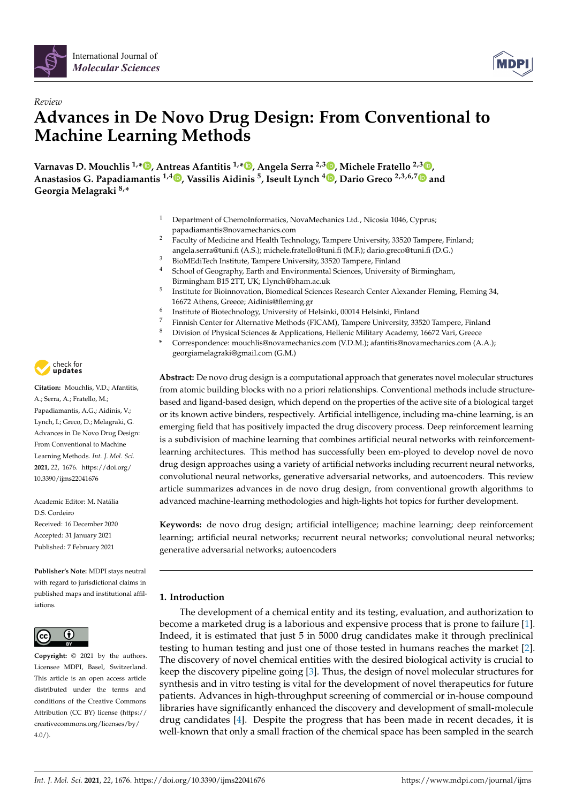

# *Review* **Advances in De Novo Drug Design: From Conventional to Machine Learning Methods**

**Varnavas D. Mouchlis 1,\* [,](https://orcid.org/0000-0002-4235-1867) Antreas Afantitis 1,\* [,](https://orcid.org/0000-0002-0977-8180) Angela Serra 2,3 [,](https://orcid.org/0000-0002-3374-1492) Michele Fratello 2,3 [,](https://orcid.org/0000-0002-3997-2339) Anastasios G. Papadiamantis 1,4 [,](https://orcid.org/0000-0002-1297-3104) Vassilis Aidinis <sup>5</sup> , Iseult Lynch <sup>4</sup> [,](https://orcid.org/0000-0003-4250-4584) Dario Greco 2,3,6,[7](https://orcid.org/0000-0001-9195-9003) and Georgia Melagraki 8,\***

- <sup>1</sup> Department of ChemoInformatics, NovaMechanics Ltd., Nicosia 1046, Cyprus; papadiamantis@novamechanics.com
- <sup>2</sup> Faculty of Medicine and Health Technology, Tampere University, 33520 Tampere, Finland; angela.serra@tuni.fi (A.S.); michele.fratello@tuni.fi (M.F.); dario.greco@tuni.fi (D.G.)
- <sup>3</sup> BioMEdiTech Institute, Tampere University, 33520 Tampere, Finland
- <sup>4</sup> School of Geography, Earth and Environmental Sciences, University of Birmingham, Birmingham B15 2TT, UK; I.lynch@bham.ac.uk
- 5 Institute for Bioinnovation, Biomedical Sciences Research Center Alexander Fleming, Fleming 34, 16672 Athens, Greece; Aidinis@fleming.gr
- 6 Institute of Biotechnology, University of Helsinki, 00014 Helsinki, Finland
- <sup>7</sup> Finnish Center for Alternative Methods (FICAM), Tampere University, 33520 Tampere, Finland<br><sup>8</sup> Division of Physical Sciences & Applications, Hollonic Military Academy 16672 Vari. Crosses
- <sup>8</sup> Division of Physical Sciences & Applications, Hellenic Military Academy, 16672 Vari, Greece
- **\*** Correspondence: mouchlis@novamechanics.com (V.D.M.); afantitis@novamechanics.com (A.A.); georgiamelagraki@gmail.com (G.M.)

**Abstract:** De novo drug design is a computational approach that generates novel molecular structures from atomic building blocks with no a priori relationships. Conventional methods include structurebased and ligand-based design, which depend on the properties of the active site of a biological target or its known active binders, respectively. Artificial intelligence, including ma-chine learning, is an emerging field that has positively impacted the drug discovery process. Deep reinforcement learning is a subdivision of machine learning that combines artificial neural networks with reinforcementlearning architectures. This method has successfully been em-ployed to develop novel de novo drug design approaches using a variety of artificial networks including recurrent neural networks, convolutional neural networks, generative adversarial networks, and autoencoders. This review article summarizes advances in de novo drug design, from conventional growth algorithms to advanced machine-learning methodologies and high-lights hot topics for further development.

**Keywords:** de novo drug design; artificial intelligence; machine learning; deep reinforcement learning; artificial neural networks; recurrent neural networks; convolutional neural networks; generative adversarial networks; autoencoders

## **1. Introduction**

The development of a chemical entity and its testing, evaluation, and authorization to become a marketed drug is a laborious and expensive process that is prone to failure [\[1\]](#page-16-0). Indeed, it is estimated that just 5 in 5000 drug candidates make it through preclinical testing to human testing and just one of those tested in humans reaches the market [\[2\]](#page-16-1). The discovery of novel chemical entities with the desired biological activity is crucial to keep the discovery pipeline going [\[3\]](#page-16-2). Thus, the design of novel molecular structures for synthesis and in vitro testing is vital for the development of novel therapeutics for future patients. Advances in high-throughput screening of commercial or in-house compound libraries have significantly enhanced the discovery and development of small-molecule drug candidates [\[4\]](#page-16-3). Despite the progress that has been made in recent decades, it is well-known that only a small fraction of the chemical space has been sampled in the search



**Citation:** Mouchlis, V.D.; Afantitis, A.; Serra, A.; Fratello, M.; Papadiamantis, A.G.; Aidinis, V.; Lynch, I.; Greco, D.; Melagraki, G. Advances in De Novo Drug Design: From Conventional to Machine Learning Methods. *Int. J. Mol. Sci.* **2021**, *22*, 1676. [https://doi.org/](https://doi.org/10.3390/ijms22041676) [10.3390/ijms22041676](https://doi.org/10.3390/ijms22041676)

Academic Editor: M. Natália D.S. Cordeiro Received: 16 December 2020 Accepted: 31 January 2021 Published: 7 February 2021

**Publisher's Note:** MDPI stays neutral with regard to jurisdictional claims in published maps and institutional affiliations.



**Copyright:** © 2021 by the authors. Licensee MDPI, Basel, Switzerland. This article is an open access article distributed under the terms and conditions of the Creative Commons Attribution (CC BY) license (https:/[/](https://creativecommons.org/licenses/by/4.0/) [creativecommons.org/licenses/by/](https://creativecommons.org/licenses/by/4.0/)  $4.0/$ ).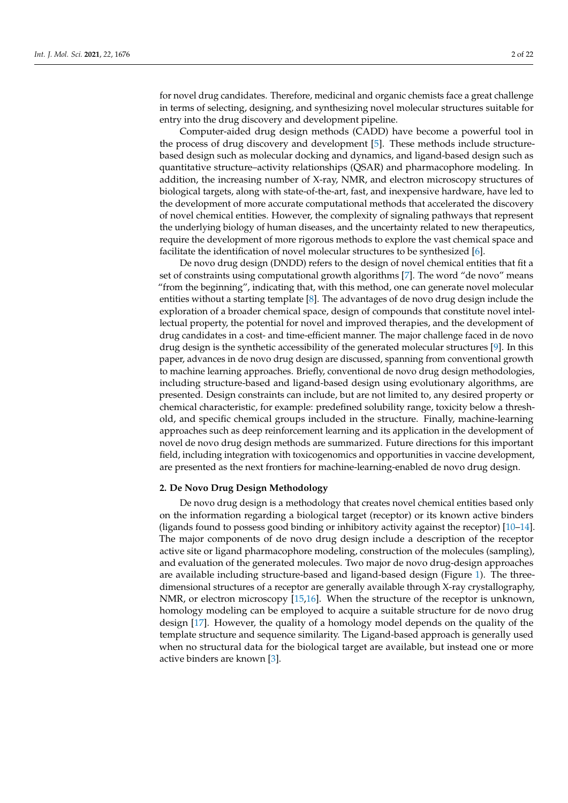for novel drug candidates. Therefore, medicinal and organic chemists face a great challenge in terms of selecting, designing, and synthesizing novel molecular structures suitable for entry into the drug discovery and development pipeline.

Computer-aided drug design methods (CADD) have become a powerful tool in the process of drug discovery and development [\[5\]](#page-16-4). These methods include structurebased design such as molecular docking and dynamics, and ligand-based design such as quantitative structure–activity relationships (QSAR) and pharmacophore modeling. In addition, the increasing number of X-ray, NMR, and electron microscopy structures of biological targets, along with state-of-the-art, fast, and inexpensive hardware, have led to the development of more accurate computational methods that accelerated the discovery of novel chemical entities. However, the complexity of signaling pathways that represent the underlying biology of human diseases, and the uncertainty related to new therapeutics, require the development of more rigorous methods to explore the vast chemical space and facilitate the identification of novel molecular structures to be synthesized [\[6\]](#page-16-5).

De novo drug design (DNDD) refers to the design of novel chemical entities that fit a set of constraints using computational growth algorithms [\[7\]](#page-16-6). The word "de novo" means "from the beginning", indicating that, with this method, one can generate novel molecular entities without a starting template [\[8\]](#page-16-7). The advantages of de novo drug design include the exploration of a broader chemical space, design of compounds that constitute novel intellectual property, the potential for novel and improved therapies, and the development of drug candidates in a cost- and time-efficient manner. The major challenge faced in de novo drug design is the synthetic accessibility of the generated molecular structures [\[9\]](#page-16-8). In this paper, advances in de novo drug design are discussed, spanning from conventional growth to machine learning approaches. Briefly, conventional de novo drug design methodologies, including structure-based and ligand-based design using evolutionary algorithms, are presented. Design constraints can include, but are not limited to, any desired property or chemical characteristic, for example: predefined solubility range, toxicity below a threshold, and specific chemical groups included in the structure. Finally, machine-learning approaches such as deep reinforcement learning and its application in the development of novel de novo drug design methods are summarized. Future directions for this important field, including integration with toxicogenomics and opportunities in vaccine development, are presented as the next frontiers for machine-learning-enabled de novo drug design.

### **2. De Novo Drug Design Methodology**

De novo drug design is a methodology that creates novel chemical entities based only on the information regarding a biological target (receptor) or its known active binders (ligands found to possess good binding or inhibitory activity against the receptor) [\[10](#page-16-9)[–14\]](#page-17-0). The major components of de novo drug design include a description of the receptor active site or ligand pharmacophore modeling, construction of the molecules (sampling), and evaluation of the generated molecules. Two major de novo drug-design approaches are available including structure-based and ligand-based design (Figure [1\)](#page-2-0). The threedimensional structures of a receptor are generally available through X-ray crystallography, NMR, or electron microscopy [\[15,](#page-17-1)[16\]](#page-17-2). When the structure of the receptor is unknown, homology modeling can be employed to acquire a suitable structure for de novo drug design [\[17\]](#page-17-3). However, the quality of a homology model depends on the quality of the template structure and sequence similarity. The Ligand-based approach is generally used when no structural data for the biological target are available, but instead one or more active binders are known [\[3\]](#page-16-2).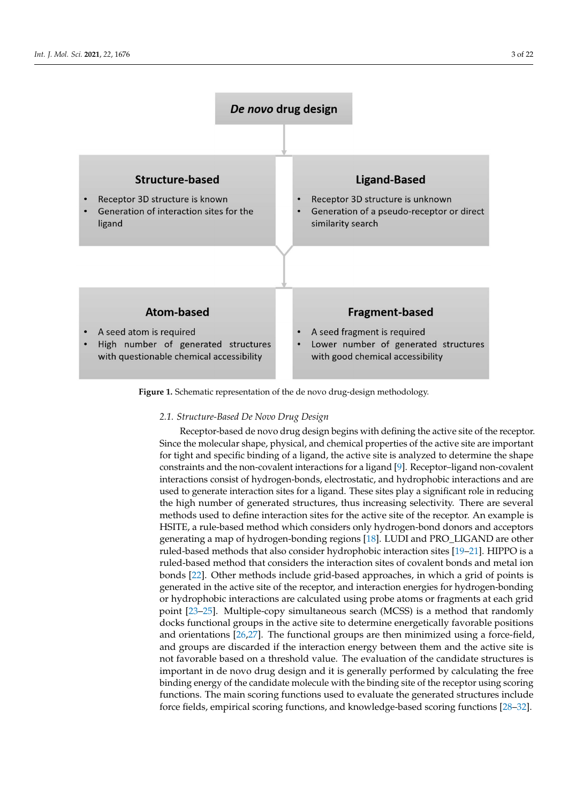<span id="page-2-0"></span>

**Figure 1.** Schematic representation of the de novo drug-design methodology.

#### *2.1. Structure-Based De Novo Drug Design*

Receptor-based de novo drug design begins with defining the active site of the receptor. Since the molecular shape, physical, and chemical properties of the active site are important for tight and specific binding of a ligand, the active site is analyzed to determine the shape constraints and the non-covalent interactions for a ligand [\[9\]](#page-16-8). Receptor–ligand non-covalent interactions consist of hydrogen-bonds, electrostatic, and hydrophobic interactions and are used to generate interaction sites for a ligand. These sites play a significant role in reducing the high number of generated structures, thus increasing selectivity. There are several methods used to define interaction sites for the active site of the receptor. An example is HSITE, a rule-based method which considers only hydrogen-bond donors and acceptors generating a map of hydrogen-bonding regions [\[18\]](#page-17-4). LUDI and PRO\_LIGAND are other ruled-based methods that also consider hydrophobic interaction sites [\[19–](#page-17-5)[21\]](#page-17-6). HIPPO is a ruled-based method that considers the interaction sites of covalent bonds and metal ion bonds [\[22\]](#page-17-7). Other methods include grid-based approaches, in which a grid of points is generated in the active site of the receptor, and interaction energies for hydrogen-bonding or hydrophobic interactions are calculated using probe atoms or fragments at each grid point [\[23–](#page-17-8)[25\]](#page-17-9). Multiple-copy simultaneous search (MCSS) is a method that randomly docks functional groups in the active site to determine energetically favorable positions and orientations [\[26,](#page-17-10)[27\]](#page-17-11). The functional groups are then minimized using a force-field, and groups are discarded if the interaction energy between them and the active site is not favorable based on a threshold value. The evaluation of the candidate structures is important in de novo drug design and it is generally performed by calculating the free binding energy of the candidate molecule with the binding site of the receptor using scoring functions. The main scoring functions used to evaluate the generated structures include force fields, empirical scoring functions, and knowledge-based scoring functions [\[28–](#page-17-12)[32\]](#page-17-13).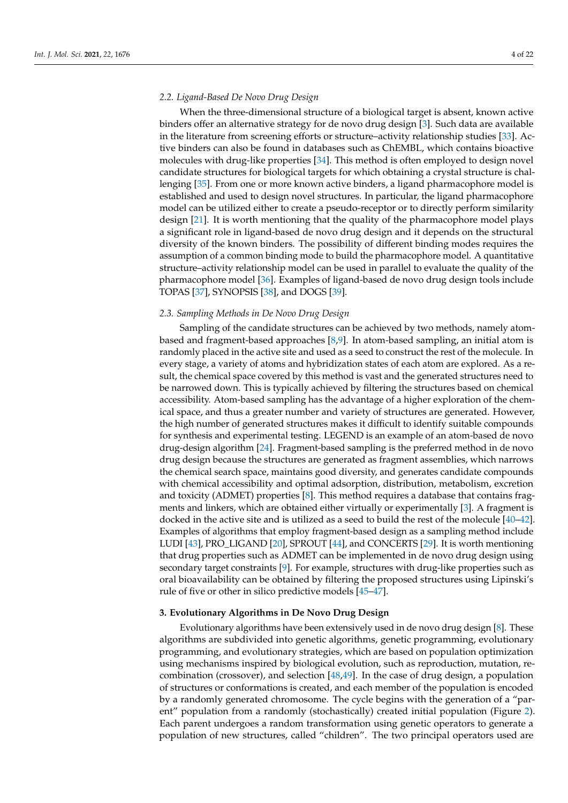## *2.2. Ligand-Based De Novo Drug Design*

When the three-dimensional structure of a biological target is absent, known active binders offer an alternative strategy for de novo drug design [\[3\]](#page-16-2). Such data are available in the literature from screening efforts or structure–activity relationship studies [\[33\]](#page-17-14). Active binders can also be found in databases such as ChEMBL, which contains bioactive molecules with drug-like properties [\[34\]](#page-17-15). This method is often employed to design novel candidate structures for biological targets for which obtaining a crystal structure is challenging [\[35\]](#page-17-16). From one or more known active binders, a ligand pharmacophore model is established and used to design novel structures. In particular, the ligand pharmacophore model can be utilized either to create a pseudo-receptor or to directly perform similarity design [\[21\]](#page-17-6). It is worth mentioning that the quality of the pharmacophore model plays a significant role in ligand-based de novo drug design and it depends on the structural diversity of the known binders. The possibility of different binding modes requires the assumption of a common binding mode to build the pharmacophore model. A quantitative structure–activity relationship model can be used in parallel to evaluate the quality of the pharmacophore model [\[36\]](#page-17-17). Examples of ligand-based de novo drug design tools include TOPAS [\[37\]](#page-17-18), SYNOPSIS [\[38\]](#page-17-19), and DOGS [\[39\]](#page-18-0).

#### *2.3. Sampling Methods in De Novo Drug Design*

Sampling of the candidate structures can be achieved by two methods, namely atombased and fragment-based approaches [\[8](#page-16-7)[,9\]](#page-16-8). In atom-based sampling, an initial atom is randomly placed in the active site and used as a seed to construct the rest of the molecule. In every stage, a variety of atoms and hybridization states of each atom are explored. As a result, the chemical space covered by this method is vast and the generated structures need to be narrowed down. This is typically achieved by filtering the structures based on chemical accessibility. Atom-based sampling has the advantage of a higher exploration of the chemical space, and thus a greater number and variety of structures are generated. However, the high number of generated structures makes it difficult to identify suitable compounds for synthesis and experimental testing. LEGEND is an example of an atom-based de novo drug-design algorithm [\[24\]](#page-17-20). Fragment-based sampling is the preferred method in de novo drug design because the structures are generated as fragment assemblies, which narrows the chemical search space, maintains good diversity, and generates candidate compounds with chemical accessibility and optimal adsorption, distribution, metabolism, excretion and toxicity (ADMET) properties [\[8\]](#page-16-7). This method requires a database that contains fragments and linkers, which are obtained either virtually or experimentally [\[3\]](#page-16-2). A fragment is docked in the active site and is utilized as a seed to build the rest of the molecule [\[40](#page-18-1)[–42\]](#page-18-2). Examples of algorithms that employ fragment-based design as a sampling method include LUDI [\[43\]](#page-18-3), PRO\_LIGAND [\[20\]](#page-17-21), SPROUT [\[44\]](#page-18-4), and CONCERTS [\[29\]](#page-17-22). It is worth mentioning that drug properties such as ADMET can be implemented in de novo drug design using secondary target constraints [\[9\]](#page-16-8). For example, structures with drug-like properties such as oral bioavailability can be obtained by filtering the proposed structures using Lipinski's rule of five or other in silico predictive models [\[45](#page-18-5)[–47\]](#page-18-6).

## **3. Evolutionary Algorithms in De Novo Drug Design**

Evolutionary algorithms have been extensively used in de novo drug design [\[8\]](#page-16-7). These algorithms are subdivided into genetic algorithms, genetic programming, evolutionary programming, and evolutionary strategies, which are based on population optimization using mechanisms inspired by biological evolution, such as reproduction, mutation, recombination (crossover), and selection [\[48](#page-18-7)[,49\]](#page-18-8). In the case of drug design, a population of structures or conformations is created, and each member of the population is encoded by a randomly generated chromosome. The cycle begins with the generation of a "parent" population from a randomly (stochastically) created initial population (Figure [2\)](#page-4-0). Each parent undergoes a random transformation using genetic operators to generate a population of new structures, called "children". The two principal operators used are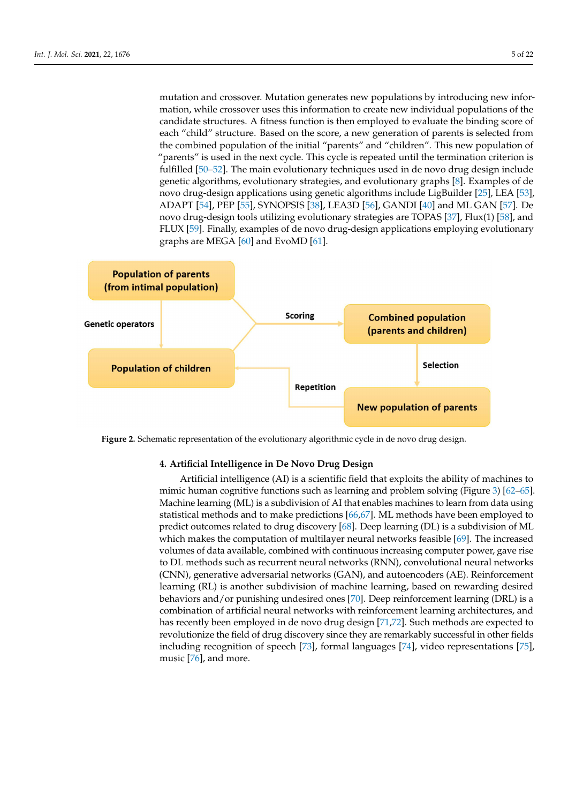mutation and crossover. Mutation generates new populations by introducing new information, while crossover uses this information to create new individual populations of the candidate structures. A fitness function is then employed to evaluate the binding score of each "child" structure. Based on the score, a new generation of parents is selected from the combined population of the initial "parents" and "children". This new population of "parents" is used in the next cycle. This cycle is repeated until the termination criterion is fulfilled [\[50](#page-18-9)[–52\]](#page-18-10). The main evolutionary techniques used in de novo drug design include genetic algorithms, evolutionary strategies, and evolutionary graphs [\[8\]](#page-16-7). Examples of de novo drug-design applications using genetic algorithms include LigBuilder [\[25\]](#page-17-9), LEA [\[53\]](#page-18-11), ADAPT [\[54\]](#page-18-12), PEP [\[55\]](#page-18-13), SYNOPSIS [\[38\]](#page-17-19), LEA3D [\[56\]](#page-18-14), GANDI [\[40\]](#page-18-1) and ML GAN [\[57\]](#page-18-15). De novo drug-design tools utilizing evolutionary strategies are TOPAS [\[37\]](#page-17-18), Flux(1) [\[58\]](#page-18-16), and FLUX [\[59\]](#page-18-17). Finally, examples of de novo drug-design applications employing evolutionary graphs are MEGA [\[60\]](#page-18-18) and EvoMD [\[61\]](#page-18-19).

<span id="page-4-0"></span>

**Figure 2.** Schematic representation of the evolutionary algorithmic cycle in de novo drug design.

## **4. Artificial Intelligence in De Novo Drug Design**

Artificial intelligence (AI) is a scientific field that exploits the ability of machines to mimic human cognitive functions such as learning and problem solving (Figure [3\)](#page-5-0) [\[62](#page-18-20)[–65\]](#page-18-21). Machine learning (ML) is a subdivision of AI that enables machines to learn from data using statistical methods and to make predictions [\[66,](#page-18-22)[67\]](#page-18-23). ML methods have been employed to predict outcomes related to drug discovery [\[68\]](#page-18-24). Deep learning (DL) is a subdivision of ML which makes the computation of multilayer neural networks feasible [\[69\]](#page-18-25). The increased volumes of data available, combined with continuous increasing computer power, gave rise to DL methods such as recurrent neural networks (RNN), convolutional neural networks (CNN), generative adversarial networks (GAN), and autoencoders (AE). Reinforcement learning (RL) is another subdivision of machine learning, based on rewarding desired behaviors and/or punishing undesired ones [\[70\]](#page-19-0). Deep reinforcement learning (DRL) is a combination of artificial neural networks with reinforcement learning architectures, and has recently been employed in de novo drug design [\[71](#page-19-1)[,72\]](#page-19-2). Such methods are expected to revolutionize the field of drug discovery since they are remarkably successful in other fields including recognition of speech [\[73\]](#page-19-3), formal languages [\[74\]](#page-19-4), video representations [\[75\]](#page-19-5), music [\[76\]](#page-19-6), and more.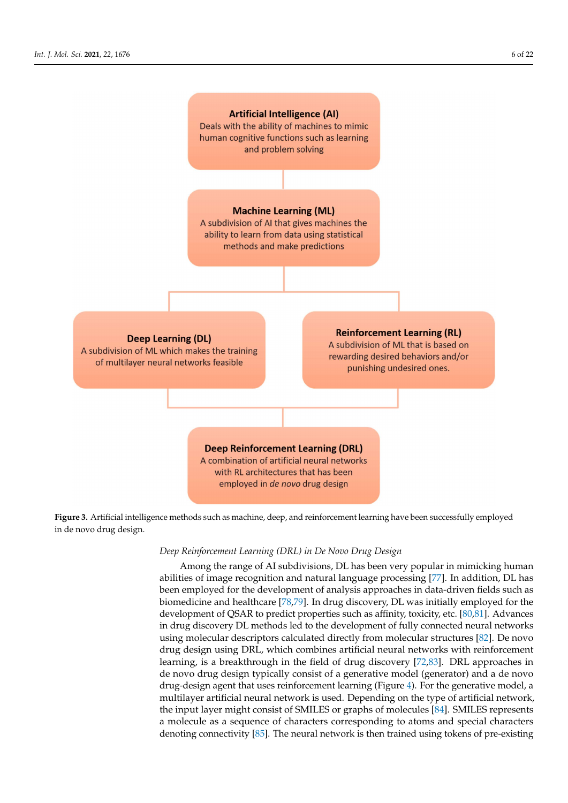<span id="page-5-0"></span>

**Figure 3.** Artificial intelligence methods such as machine, deep, and reinforcement learning have been successfully employed in de novo drug design.

## *Deep Reinforcement Learning (DRL) in De Novo Drug Design*

Among the range of AI subdivisions, DL has been very popular in mimicking human abilities of image recognition and natural language processing [\[77\]](#page-19-7). In addition, DL has been employed for the development of analysis approaches in data-driven fields such as biomedicine and healthcare [\[78](#page-19-8)[,79\]](#page-19-9). In drug discovery, DL was initially employed for the development of QSAR to predict properties such as affinity, toxicity, etc. [\[80](#page-19-10)[,81\]](#page-19-11). Advances in drug discovery DL methods led to the development of fully connected neural networks using molecular descriptors calculated directly from molecular structures [\[82\]](#page-19-12). De novo drug design using DRL, which combines artificial neural networks with reinforcement learning, is a breakthrough in the field of drug discovery [\[72](#page-19-2)[,83\]](#page-19-13). DRL approaches in de novo drug design typically consist of a generative model (generator) and a de novo drug-design agent that uses reinforcement learning (Figure [4\)](#page-6-0). For the generative model, a multilayer artificial neural network is used. Depending on the type of artificial network, the input layer might consist of SMILES or graphs of molecules [\[84\]](#page-19-14). SMILES represents a molecule as a sequence of characters corresponding to atoms and special characters denoting connectivity [\[85\]](#page-19-15). The neural network is then trained using tokens of pre-existing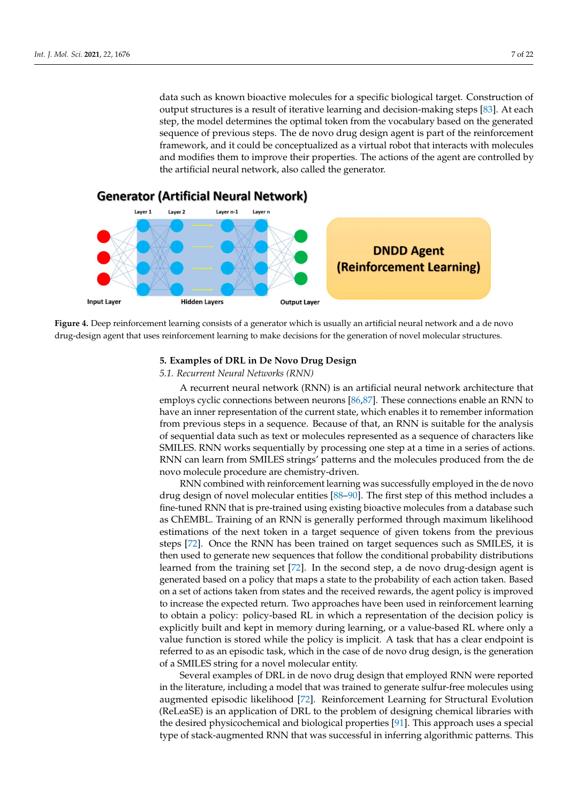data such as known bioactive molecules for a specific biological target. Construction of output structures is a result of iterative learning and decision-making steps [\[83\]](#page-19-13). At each step, the model determines the optimal token from the vocabulary based on the generated sequence of previous steps. The de novo drug design agent is part of the reinforcement framework, and it could be conceptualized as a virtual robot that interacts with molecules and modifies them to improve their properties. The actions of the agent are controlled by the artificial neural network, also called the generator.

<span id="page-6-0"></span>

**Figure 4.** Deep reinforcement learning consists of a generator which is usually an artificial neural network and a de novo drug-design agent that uses reinforcement learning to make decisions for the generation of novel molecular structures.

## **5. Examples of DRL in De Novo Drug Design**

## *5.1. Recurrent Neural Networks (RNN)*

A recurrent neural network (RNN) is an artificial neural network architecture that employs cyclic connections between neurons [\[86,](#page-19-16)[87\]](#page-19-17). These connections enable an RNN to have an inner representation of the current state, which enables it to remember information from previous steps in a sequence. Because of that, an RNN is suitable for the analysis of sequential data such as text or molecules represented as a sequence of characters like SMILES. RNN works sequentially by processing one step at a time in a series of actions. RNN can learn from SMILES strings' patterns and the molecules produced from the de novo molecule procedure are chemistry-driven.

RNN combined with reinforcement learning was successfully employed in the de novo drug design of novel molecular entities [\[88–](#page-19-18)[90\]](#page-19-19). The first step of this method includes a fine-tuned RNN that is pre-trained using existing bioactive molecules from a database such as ChEMBL. Training of an RNN is generally performed through maximum likelihood estimations of the next token in a target sequence of given tokens from the previous steps [\[72\]](#page-19-2). Once the RNN has been trained on target sequences such as SMILES, it is then used to generate new sequences that follow the conditional probability distributions learned from the training set [\[72\]](#page-19-2). In the second step, a de novo drug-design agent is generated based on a policy that maps a state to the probability of each action taken. Based on a set of actions taken from states and the received rewards, the agent policy is improved to increase the expected return. Two approaches have been used in reinforcement learning to obtain a policy: policy-based RL in which a representation of the decision policy is explicitly built and kept in memory during learning, or a value-based RL where only a value function is stored while the policy is implicit. A task that has a clear endpoint is referred to as an episodic task, which in the case of de novo drug design, is the generation of a SMILES string for a novel molecular entity.

Several examples of DRL in de novo drug design that employed RNN were reported in the literature, including a model that was trained to generate sulfur-free molecules using augmented episodic likelihood [\[72\]](#page-19-2). Reinforcement Learning for Structural Evolution (ReLeaSE) is an application of DRL to the problem of designing chemical libraries with the desired physicochemical and biological properties [\[91\]](#page-19-20). This approach uses a special type of stack-augmented RNN that was successful in inferring algorithmic patterns. This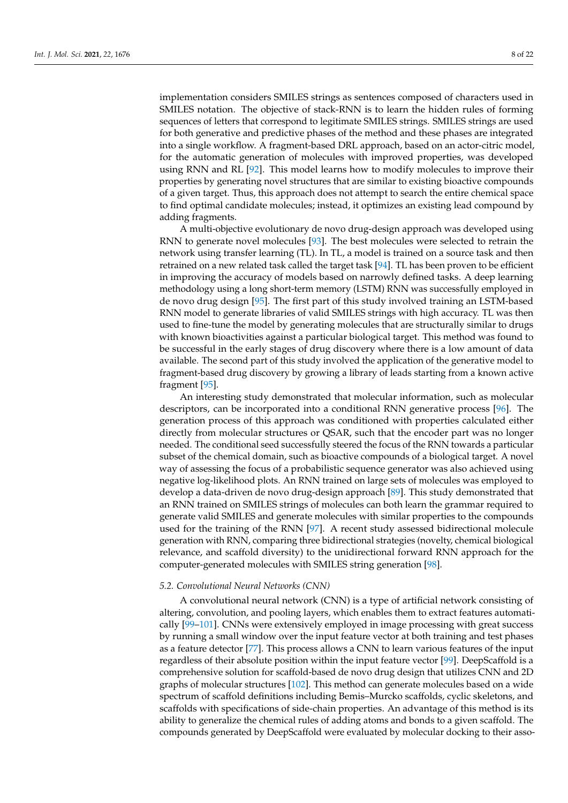implementation considers SMILES strings as sentences composed of characters used in SMILES notation. The objective of stack-RNN is to learn the hidden rules of forming sequences of letters that correspond to legitimate SMILES strings. SMILES strings are used for both generative and predictive phases of the method and these phases are integrated into a single workflow. A fragment-based DRL approach, based on an actor-citric model, for the automatic generation of molecules with improved properties, was developed using RNN and RL [\[92\]](#page-19-21). This model learns how to modify molecules to improve their properties by generating novel structures that are similar to existing bioactive compounds of a given target. Thus, this approach does not attempt to search the entire chemical space to find optimal candidate molecules; instead, it optimizes an existing lead compound by adding fragments.

A multi-objective evolutionary de novo drug-design approach was developed using RNN to generate novel molecules [\[93\]](#page-19-22). The best molecules were selected to retrain the network using transfer learning (TL). In TL, a model is trained on a source task and then retrained on a new related task called the target task [\[94\]](#page-19-23). TL has been proven to be efficient in improving the accuracy of models based on narrowly defined tasks. A deep learning methodology using a long short-term memory (LSTM) RNN was successfully employed in de novo drug design [\[95\]](#page-19-24). The first part of this study involved training an LSTM-based RNN model to generate libraries of valid SMILES strings with high accuracy. TL was then used to fine-tune the model by generating molecules that are structurally similar to drugs with known bioactivities against a particular biological target. This method was found to be successful in the early stages of drug discovery where there is a low amount of data available. The second part of this study involved the application of the generative model to fragment-based drug discovery by growing a library of leads starting from a known active fragment [\[95\]](#page-19-24).

An interesting study demonstrated that molecular information, such as molecular descriptors, can be incorporated into a conditional RNN generative process [\[96\]](#page-19-25). The generation process of this approach was conditioned with properties calculated either directly from molecular structures or QSAR, such that the encoder part was no longer needed. The conditional seed successfully steered the focus of the RNN towards a particular subset of the chemical domain, such as bioactive compounds of a biological target. A novel way of assessing the focus of a probabilistic sequence generator was also achieved using negative log-likelihood plots. An RNN trained on large sets of molecules was employed to develop a data-driven de novo drug-design approach [\[89\]](#page-19-26). This study demonstrated that an RNN trained on SMILES strings of molecules can both learn the grammar required to generate valid SMILES and generate molecules with similar properties to the compounds used for the training of the RNN [\[97\]](#page-19-27). A recent study assessed bidirectional molecule generation with RNN, comparing three bidirectional strategies (novelty, chemical biological relevance, and scaffold diversity) to the unidirectional forward RNN approach for the computer-generated molecules with SMILES string generation [\[98\]](#page-19-28).

#### *5.2. Convolutional Neural Networks (CNN)*

A convolutional neural network (CNN) is a type of artificial network consisting of altering, convolution, and pooling layers, which enables them to extract features automatically [\[99](#page-19-29)[–101\]](#page-20-0). CNNs were extensively employed in image processing with great success by running a small window over the input feature vector at both training and test phases as a feature detector [\[77\]](#page-19-7). This process allows a CNN to learn various features of the input regardless of their absolute position within the input feature vector [\[99\]](#page-19-29). DeepScaffold is a comprehensive solution for scaffold-based de novo drug design that utilizes CNN and 2D graphs of molecular structures [\[102\]](#page-20-1). This method can generate molecules based on a wide spectrum of scaffold definitions including Bemis–Murcko scaffolds, cyclic skeletons, and scaffolds with specifications of side-chain properties. An advantage of this method is its ability to generalize the chemical rules of adding atoms and bonds to a given scaffold. The compounds generated by DeepScaffold were evaluated by molecular docking to their asso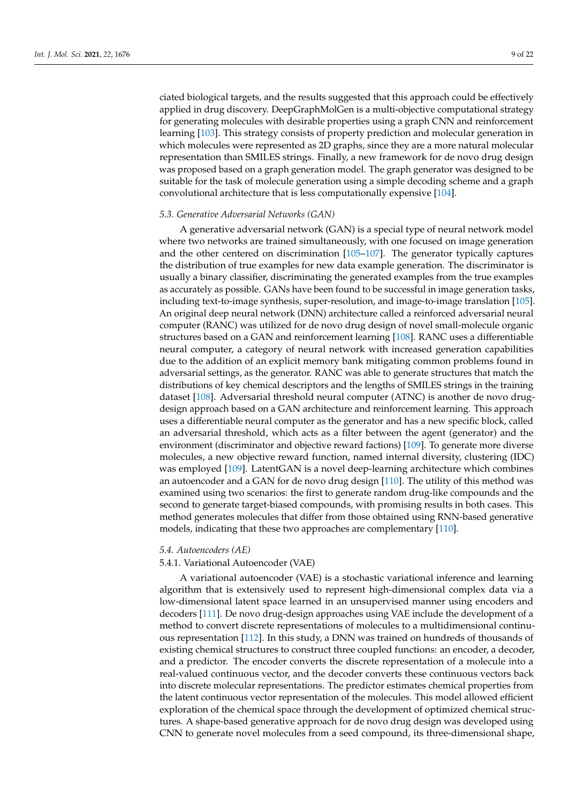ciated biological targets, and the results suggested that this approach could be effectively applied in drug discovery. DeepGraphMolGen is a multi-objective computational strategy for generating molecules with desirable properties using a graph CNN and reinforcement learning [\[103\]](#page-20-2). This strategy consists of property prediction and molecular generation in which molecules were represented as 2D graphs, since they are a more natural molecular representation than SMILES strings. Finally, a new framework for de novo drug design was proposed based on a graph generation model. The graph generator was designed to be suitable for the task of molecule generation using a simple decoding scheme and a graph convolutional architecture that is less computationally expensive [\[104\]](#page-20-3).

## *5.3. Generative Adversarial Networks (GAN)*

A generative adversarial network (GAN) is a special type of neural network model where two networks are trained simultaneously, with one focused on image generation and the other centered on discrimination [\[105](#page-20-4)[–107\]](#page-20-5). The generator typically captures the distribution of true examples for new data example generation. The discriminator is usually a binary classifier, discriminating the generated examples from the true examples as accurately as possible. GANs have been found to be successful in image generation tasks, including text-to-image synthesis, super-resolution, and image-to-image translation [\[105\]](#page-20-4). An original deep neural network (DNN) architecture called a reinforced adversarial neural computer (RANC) was utilized for de novo drug design of novel small-molecule organic structures based on a GAN and reinforcement learning [\[108\]](#page-20-6). RANC uses a differentiable neural computer, a category of neural network with increased generation capabilities due to the addition of an explicit memory bank mitigating common problems found in adversarial settings, as the generator. RANC was able to generate structures that match the distributions of key chemical descriptors and the lengths of SMILES strings in the training dataset [\[108\]](#page-20-6). Adversarial threshold neural computer (ATNC) is another de novo drugdesign approach based on a GAN architecture and reinforcement learning. This approach uses a differentiable neural computer as the generator and has a new specific block, called an adversarial threshold, which acts as a filter between the agent (generator) and the environment (discriminator and objective reward factions) [\[109\]](#page-20-7). To generate more diverse molecules, a new objective reward function, named internal diversity, clustering (IDC) was employed [\[109\]](#page-20-7). LatentGAN is a novel deep-learning architecture which combines an autoencoder and a GAN for de novo drug design [\[110\]](#page-20-8). The utility of this method was examined using two scenarios: the first to generate random drug-like compounds and the second to generate target-biased compounds, with promising results in both cases. This method generates molecules that differ from those obtained using RNN-based generative models, indicating that these two approaches are complementary [\[110\]](#page-20-8).

#### *5.4. Autoencoders (AE)*

#### 5.4.1. Variational Autoencoder (VAE)

A variational autoencoder (VAE) is a stochastic variational inference and learning algorithm that is extensively used to represent high-dimensional complex data via a low-dimensional latent space learned in an unsupervised manner using encoders and decoders [\[111\]](#page-20-9). De novo drug-design approaches using VAE include the development of a method to convert discrete representations of molecules to a multidimensional continuous representation [\[112\]](#page-20-10). In this study, a DNN was trained on hundreds of thousands of existing chemical structures to construct three coupled functions: an encoder, a decoder, and a predictor. The encoder converts the discrete representation of a molecule into a real-valued continuous vector, and the decoder converts these continuous vectors back into discrete molecular representations. The predictor estimates chemical properties from the latent continuous vector representation of the molecules. This model allowed efficient exploration of the chemical space through the development of optimized chemical structures. A shape-based generative approach for de novo drug design was developed using CNN to generate novel molecules from a seed compound, its three-dimensional shape,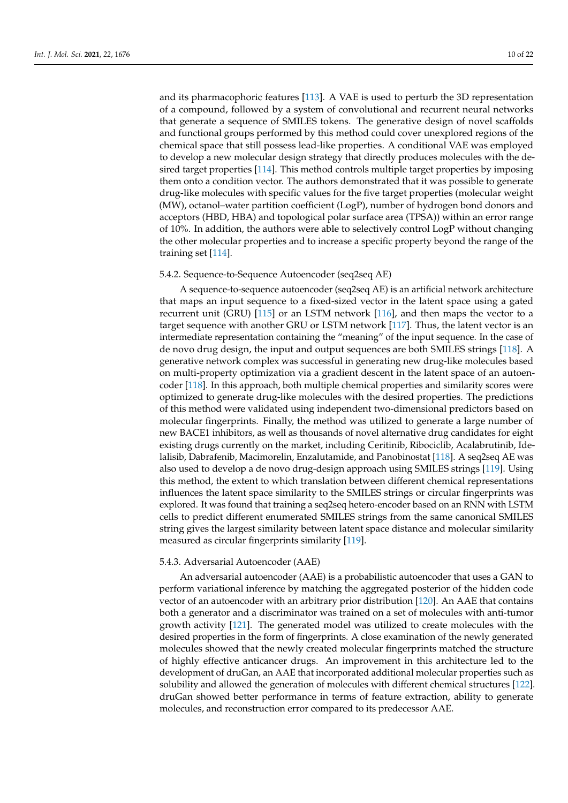and its pharmacophoric features [\[113\]](#page-20-11). A VAE is used to perturb the 3D representation of a compound, followed by a system of convolutional and recurrent neural networks that generate a sequence of SMILES tokens. The generative design of novel scaffolds and functional groups performed by this method could cover unexplored regions of the chemical space that still possess lead-like properties. A conditional VAE was employed to develop a new molecular design strategy that directly produces molecules with the desired target properties [\[114\]](#page-20-12). This method controls multiple target properties by imposing them onto a condition vector. The authors demonstrated that it was possible to generate drug-like molecules with specific values for the five target properties (molecular weight (MW), octanol–water partition coefficient (LogP), number of hydrogen bond donors and acceptors (HBD, HBA) and topological polar surface area (TPSA)) within an error range of 10%. In addition, the authors were able to selectively control LogP without changing the other molecular properties and to increase a specific property beyond the range of the training set [\[114\]](#page-20-12).

#### 5.4.2. Sequence-to-Sequence Autoencoder (seq2seq AE)

A sequence-to-sequence autoencoder (seq2seq AE) is an artificial network architecture that maps an input sequence to a fixed-sized vector in the latent space using a gated recurrent unit (GRU) [\[115\]](#page-20-13) or an LSTM network [\[116\]](#page-20-14), and then maps the vector to a target sequence with another GRU or LSTM network [\[117\]](#page-20-15). Thus, the latent vector is an intermediate representation containing the "meaning" of the input sequence. In the case of de novo drug design, the input and output sequences are both SMILES strings [\[118\]](#page-20-16). A generative network complex was successful in generating new drug-like molecules based on multi-property optimization via a gradient descent in the latent space of an autoencoder [\[118\]](#page-20-16). In this approach, both multiple chemical properties and similarity scores were optimized to generate drug-like molecules with the desired properties. The predictions of this method were validated using independent two-dimensional predictors based on molecular fingerprints. Finally, the method was utilized to generate a large number of new BACE1 inhibitors, as well as thousands of novel alternative drug candidates for eight existing drugs currently on the market, including Ceritinib, Ribociclib, Acalabrutinib, Idelalisib, Dabrafenib, Macimorelin, Enzalutamide, and Panobinostat [\[118\]](#page-20-16). A seq2seq AE was also used to develop a de novo drug-design approach using SMILES strings [\[119\]](#page-20-17). Using this method, the extent to which translation between different chemical representations influences the latent space similarity to the SMILES strings or circular fingerprints was explored. It was found that training a seq2seq hetero-encoder based on an RNN with LSTM cells to predict different enumerated SMILES strings from the same canonical SMILES string gives the largest similarity between latent space distance and molecular similarity measured as circular fingerprints similarity [\[119\]](#page-20-17).

#### 5.4.3. Adversarial Autoencoder (AAE)

An adversarial autoencoder (AAE) is a probabilistic autoencoder that uses a GAN to perform variational inference by matching the aggregated posterior of the hidden code vector of an autoencoder with an arbitrary prior distribution [\[120\]](#page-20-18). An AAE that contains both a generator and a discriminator was trained on a set of molecules with anti-tumor growth activity [\[121\]](#page-20-19). The generated model was utilized to create molecules with the desired properties in the form of fingerprints. A close examination of the newly generated molecules showed that the newly created molecular fingerprints matched the structure of highly effective anticancer drugs. An improvement in this architecture led to the development of druGan, an AAE that incorporated additional molecular properties such as solubility and allowed the generation of molecules with different chemical structures [\[122\]](#page-20-20). druGan showed better performance in terms of feature extraction, ability to generate molecules, and reconstruction error compared to its predecessor AAE.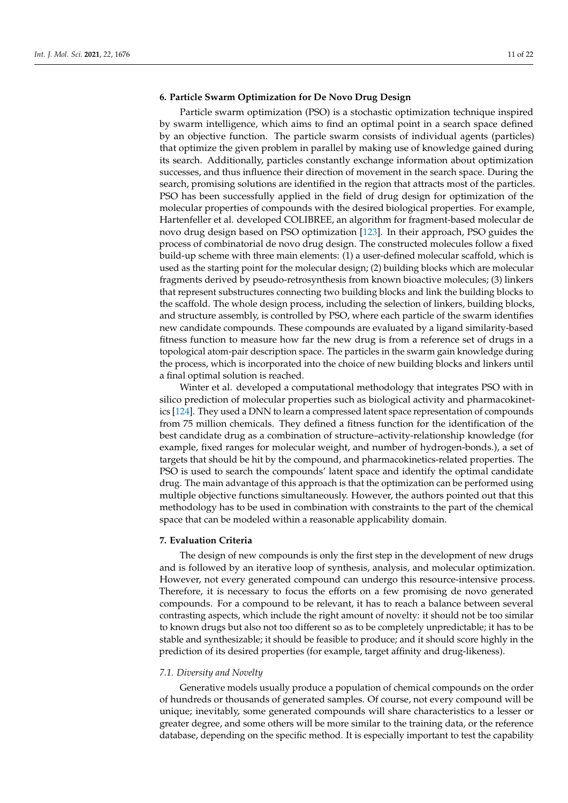## **6. Particle Swarm Optimization for De Novo Drug Design**

Particle swarm optimization (PSO) is a stochastic optimization technique inspired by swarm intelligence, which aims to find an optimal point in a search space defined by an objective function. The particle swarm consists of individual agents (particles) that optimize the given problem in parallel by making use of knowledge gained during its search. Additionally, particles constantly exchange information about optimization successes, and thus influence their direction of movement in the search space. During the search, promising solutions are identified in the region that attracts most of the particles. PSO has been successfully applied in the field of drug design for optimization of the molecular properties of compounds with the desired biological properties. For example, Hartenfeller et al. developed COLIBREE, an algorithm for fragment-based molecular de novo drug design based on PSO optimization [\[123\]](#page-20-21). In their approach, PSO guides the process of combinatorial de novo drug design. The constructed molecules follow a fixed build-up scheme with three main elements: (1) a user-defined molecular scaffold, which is used as the starting point for the molecular design; (2) building blocks which are molecular fragments derived by pseudo-retrosynthesis from known bioactive molecules; (3) linkers that represent substructures connecting two building blocks and link the building blocks to the scaffold. The whole design process, including the selection of linkers, building blocks, and structure assembly, is controlled by PSO, where each particle of the swarm identifies new candidate compounds. These compounds are evaluated by a ligand similarity-based fitness function to measure how far the new drug is from a reference set of drugs in a topological atom-pair description space. The particles in the swarm gain knowledge during the process, which is incorporated into the choice of new building blocks and linkers until a final optimal solution is reached.

Winter et al. developed a computational methodology that integrates PSO with in silico prediction of molecular properties such as biological activity and pharmacokinetics [\[124\]](#page-20-22). They used a DNN to learn a compressed latent space representation of compounds from 75 million chemicals. They defined a fitness function for the identification of the best candidate drug as a combination of structure–activity-relationship knowledge (for example, fixed ranges for molecular weight, and number of hydrogen-bonds.), a set of targets that should be hit by the compound, and pharmacokinetics-related properties. The PSO is used to search the compounds' latent space and identify the optimal candidate drug. The main advantage of this approach is that the optimization can be performed using multiple objective functions simultaneously. However, the authors pointed out that this methodology has to be used in combination with constraints to the part of the chemical space that can be modeled within a reasonable applicability domain.

## **7. Evaluation Criteria**

The design of new compounds is only the first step in the development of new drugs and is followed by an iterative loop of synthesis, analysis, and molecular optimization. However, not every generated compound can undergo this resource-intensive process. Therefore, it is necessary to focus the efforts on a few promising de novo generated compounds. For a compound to be relevant, it has to reach a balance between several contrasting aspects, which include the right amount of novelty: it should not be too similar to known drugs but also not too different so as to be completely unpredictable; it has to be stable and synthesizable; it should be feasible to produce; and it should score highly in the prediction of its desired properties (for example, target affinity and drug-likeness).

#### *7.1. Diversity and Novelty*

Generative models usually produce a population of chemical compounds on the order of hundreds or thousands of generated samples. Of course, not every compound will be unique; inevitably, some generated compounds will share characteristics to a lesser or greater degree, and some others will be more similar to the training data, or the reference database, depending on the specific method. It is especially important to test the capability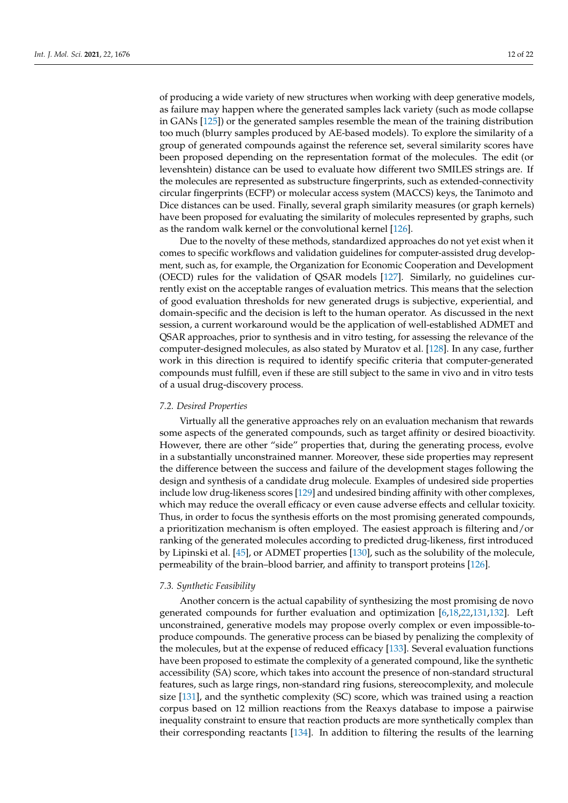of producing a wide variety of new structures when working with deep generative models, as failure may happen where the generated samples lack variety (such as mode collapse in GANs [\[125\]](#page-20-23)) or the generated samples resemble the mean of the training distribution too much (blurry samples produced by AE-based models). To explore the similarity of a group of generated compounds against the reference set, several similarity scores have been proposed depending on the representation format of the molecules. The edit (or levenshtein) distance can be used to evaluate how different two SMILES strings are. If the molecules are represented as substructure fingerprints, such as extended-connectivity circular fingerprints (ECFP) or molecular access system (MACCS) keys, the Tanimoto and Dice distances can be used. Finally, several graph similarity measures (or graph kernels) have been proposed for evaluating the similarity of molecules represented by graphs, such as the random walk kernel or the convolutional kernel [\[126\]](#page-20-24).

Due to the novelty of these methods, standardized approaches do not yet exist when it comes to specific workflows and validation guidelines for computer-assisted drug development, such as, for example, the Organization for Economic Cooperation and Development (OECD) rules for the validation of QSAR models [\[127\]](#page-20-25). Similarly, no guidelines currently exist on the acceptable ranges of evaluation metrics. This means that the selection of good evaluation thresholds for new generated drugs is subjective, experiential, and domain-specific and the decision is left to the human operator. As discussed in the next session, a current workaround would be the application of well-established ADMET and QSAR approaches, prior to synthesis and in vitro testing, for assessing the relevance of the computer-designed molecules, as also stated by Muratov et al. [\[128\]](#page-20-26). In any case, further work in this direction is required to identify specific criteria that computer-generated compounds must fulfill, even if these are still subject to the same in vivo and in vitro tests of a usual drug-discovery process.

#### *7.2. Desired Properties*

Virtually all the generative approaches rely on an evaluation mechanism that rewards some aspects of the generated compounds, such as target affinity or desired bioactivity. However, there are other "side" properties that, during the generating process, evolve in a substantially unconstrained manner. Moreover, these side properties may represent the difference between the success and failure of the development stages following the design and synthesis of a candidate drug molecule. Examples of undesired side properties include low drug-likeness scores [\[129\]](#page-20-27) and undesired binding affinity with other complexes, which may reduce the overall efficacy or even cause adverse effects and cellular toxicity. Thus, in order to focus the synthesis efforts on the most promising generated compounds, a prioritization mechanism is often employed. The easiest approach is filtering and/or ranking of the generated molecules according to predicted drug-likeness, first introduced by Lipinski et al. [\[45\]](#page-18-5), or ADMET properties [\[130\]](#page-20-28), such as the solubility of the molecule, permeability of the brain–blood barrier, and affinity to transport proteins [\[126\]](#page-20-24).

## *7.3. Synthetic Feasibility*

Another concern is the actual capability of synthesizing the most promising de novo generated compounds for further evaluation and optimization [\[6,](#page-16-5)[18,](#page-17-4)[22](#page-17-7)[,131,](#page-21-0)[132\]](#page-21-1). Left unconstrained, generative models may propose overly complex or even impossible-toproduce compounds. The generative process can be biased by penalizing the complexity of the molecules, but at the expense of reduced efficacy [\[133\]](#page-21-2). Several evaluation functions have been proposed to estimate the complexity of a generated compound, like the synthetic accessibility (SA) score, which takes into account the presence of non-standard structural features, such as large rings, non-standard ring fusions, stereocomplexity, and molecule size [\[131\]](#page-21-0), and the synthetic complexity (SC) score, which was trained using a reaction corpus based on 12 million reactions from the Reaxys database to impose a pairwise inequality constraint to ensure that reaction products are more synthetically complex than their corresponding reactants [\[134\]](#page-21-3). In addition to filtering the results of the learning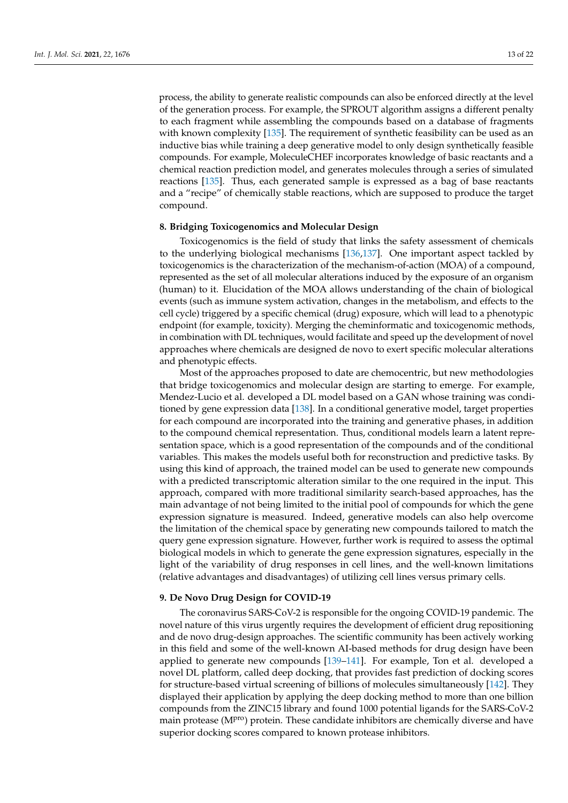process, the ability to generate realistic compounds can also be enforced directly at the level of the generation process. For example, the SPROUT algorithm assigns a different penalty to each fragment while assembling the compounds based on a database of fragments with known complexity [\[135\]](#page-21-4). The requirement of synthetic feasibility can be used as an inductive bias while training a deep generative model to only design synthetically feasible compounds. For example, MoleculeCHEF incorporates knowledge of basic reactants and a chemical reaction prediction model, and generates molecules through a series of simulated reactions [\[135\]](#page-21-4). Thus, each generated sample is expressed as a bag of base reactants and a "recipe" of chemically stable reactions, which are supposed to produce the target compound.

#### **8. Bridging Toxicogenomics and Molecular Design**

Toxicogenomics is the field of study that links the safety assessment of chemicals to the underlying biological mechanisms [\[136,](#page-21-5)[137\]](#page-21-6). One important aspect tackled by toxicogenomics is the characterization of the mechanism-of-action (MOA) of a compound, represented as the set of all molecular alterations induced by the exposure of an organism (human) to it. Elucidation of the MOA allows understanding of the chain of biological events (such as immune system activation, changes in the metabolism, and effects to the cell cycle) triggered by a specific chemical (drug) exposure, which will lead to a phenotypic endpoint (for example, toxicity). Merging the cheminformatic and toxicogenomic methods, in combination with DL techniques, would facilitate and speed up the development of novel approaches where chemicals are designed de novo to exert specific molecular alterations and phenotypic effects.

Most of the approaches proposed to date are chemocentric, but new methodologies that bridge toxicogenomics and molecular design are starting to emerge. For example, Mendez-Lucio et al. developed a DL model based on a GAN whose training was conditioned by gene expression data [\[138\]](#page-21-7). In a conditional generative model, target properties for each compound are incorporated into the training and generative phases, in addition to the compound chemical representation. Thus, conditional models learn a latent representation space, which is a good representation of the compounds and of the conditional variables. This makes the models useful both for reconstruction and predictive tasks. By using this kind of approach, the trained model can be used to generate new compounds with a predicted transcriptomic alteration similar to the one required in the input. This approach, compared with more traditional similarity search-based approaches, has the main advantage of not being limited to the initial pool of compounds for which the gene expression signature is measured. Indeed, generative models can also help overcome the limitation of the chemical space by generating new compounds tailored to match the query gene expression signature. However, further work is required to assess the optimal biological models in which to generate the gene expression signatures, especially in the light of the variability of drug responses in cell lines, and the well-known limitations (relative advantages and disadvantages) of utilizing cell lines versus primary cells.

#### **9. De Novo Drug Design for COVID-19**

The coronavirus SARS-CoV-2 is responsible for the ongoing COVID-19 pandemic. The novel nature of this virus urgently requires the development of efficient drug repositioning and de novo drug-design approaches. The scientific community has been actively working in this field and some of the well-known AI-based methods for drug design have been applied to generate new compounds [\[139](#page-21-8)[–141\]](#page-21-9). For example, Ton et al. developed a novel DL platform, called deep docking, that provides fast prediction of docking scores for structure-based virtual screening of billions of molecules simultaneously [\[142\]](#page-21-10). They displayed their application by applying the deep docking method to more than one billion compounds from the ZINC15 library and found 1000 potential ligands for the SARS-CoV-2 main protease (MP<sup>ro</sup>) protein. These candidate inhibitors are chemically diverse and have superior docking scores compared to known protease inhibitors.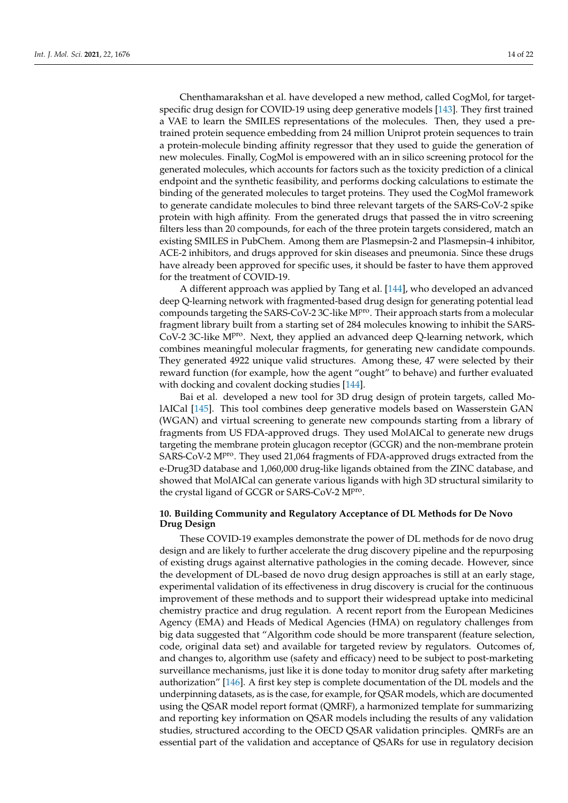Chenthamarakshan et al. have developed a new method, called CogMol, for targetspecific drug design for COVID-19 using deep generative models [\[143\]](#page-21-11). They first trained a VAE to learn the SMILES representations of the molecules. Then, they used a pretrained protein sequence embedding from 24 million Uniprot protein sequences to train a protein-molecule binding affinity regressor that they used to guide the generation of new molecules. Finally, CogMol is empowered with an in silico screening protocol for the generated molecules, which accounts for factors such as the toxicity prediction of a clinical endpoint and the synthetic feasibility, and performs docking calculations to estimate the binding of the generated molecules to target proteins. They used the CogMol framework to generate candidate molecules to bind three relevant targets of the SARS-CoV-2 spike protein with high affinity. From the generated drugs that passed the in vitro screening filters less than 20 compounds, for each of the three protein targets considered, match an existing SMILES in PubChem. Among them are Plasmepsin-2 and Plasmepsin-4 inhibitor, ACE-2 inhibitors, and drugs approved for skin diseases and pneumonia. Since these drugs have already been approved for specific uses, it should be faster to have them approved for the treatment of COVID-19.

A different approach was applied by Tang et al. [\[144\]](#page-21-12), who developed an advanced deep Q-learning network with fragmented-based drug design for generating potential lead compounds targeting the SARS-CoV-2 3C-like MP<sup>ro</sup>. Their approach starts from a molecular fragment library built from a starting set of 284 molecules knowing to inhibit the SARS-CoV-2 3C-like M<sup>pro</sup>. Next, they applied an advanced deep Q-learning network, which combines meaningful molecular fragments, for generating new candidate compounds. They generated 4922 unique valid structures. Among these, 47 were selected by their reward function (for example, how the agent "ought" to behave) and further evaluated with docking and covalent docking studies [\[144\]](#page-21-12).

Bai et al. developed a new tool for 3D drug design of protein targets, called MolAICal [\[145\]](#page-21-13). This tool combines deep generative models based on Wasserstein GAN (WGAN) and virtual screening to generate new compounds starting from a library of fragments from US FDA-approved drugs. They used MolAICal to generate new drugs targeting the membrane protein glucagon receptor (GCGR) and the non-membrane protein SARS-CoV-2 M<sup>pro</sup>. They used 21,064 fragments of FDA-approved drugs extracted from the e-Drug3D database and 1,060,000 drug-like ligands obtained from the ZINC database, and showed that MolAICal can generate various ligands with high 3D structural similarity to the crystal ligand of GCGR or SARS-CoV-2 MPro.

## **10. Building Community and Regulatory Acceptance of DL Methods for De Novo Drug Design**

These COVID-19 examples demonstrate the power of DL methods for de novo drug design and are likely to further accelerate the drug discovery pipeline and the repurposing of existing drugs against alternative pathologies in the coming decade. However, since the development of DL-based de novo drug design approaches is still at an early stage, experimental validation of its effectiveness in drug discovery is crucial for the continuous improvement of these methods and to support their widespread uptake into medicinal chemistry practice and drug regulation. A recent report from the European Medicines Agency (EMA) and Heads of Medical Agencies (HMA) on regulatory challenges from big data suggested that "Algorithm code should be more transparent (feature selection, code, original data set) and available for targeted review by regulators. Outcomes of, and changes to, algorithm use (safety and efficacy) need to be subject to post-marketing surveillance mechanisms, just like it is done today to monitor drug safety after marketing authorization" [\[146\]](#page-21-14). A first key step is complete documentation of the DL models and the underpinning datasets, as is the case, for example, for QSAR models, which are documented using the QSAR model report format (QMRF), a harmonized template for summarizing and reporting key information on QSAR models including the results of any validation studies, structured according to the OECD QSAR validation principles. QMRFs are an essential part of the validation and acceptance of QSARs for use in regulatory decision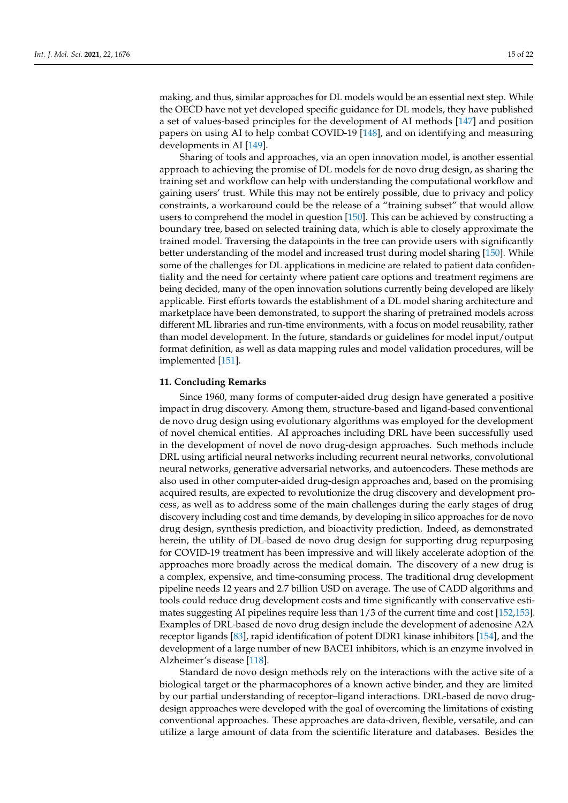making, and thus, similar approaches for DL models would be an essential next step. While the OECD have not yet developed specific guidance for DL models, they have published a set of values-based principles for the development of AI methods [\[147\]](#page-21-15) and position papers on using AI to help combat COVID-19 [\[148\]](#page-21-16), and on identifying and measuring developments in AI [\[149\]](#page-21-17).

Sharing of tools and approaches, via an open innovation model, is another essential approach to achieving the promise of DL models for de novo drug design, as sharing the training set and workflow can help with understanding the computational workflow and gaining users' trust. While this may not be entirely possible, due to privacy and policy constraints, a workaround could be the release of a "training subset" that would allow users to comprehend the model in question [\[150\]](#page-21-18). This can be achieved by constructing a boundary tree, based on selected training data, which is able to closely approximate the trained model. Traversing the datapoints in the tree can provide users with significantly better understanding of the model and increased trust during model sharing [\[150\]](#page-21-18). While some of the challenges for DL applications in medicine are related to patient data confidentiality and the need for certainty where patient care options and treatment regimens are being decided, many of the open innovation solutions currently being developed are likely applicable. First efforts towards the establishment of a DL model sharing architecture and marketplace have been demonstrated, to support the sharing of pretrained models across different ML libraries and run-time environments, with a focus on model reusability, rather than model development. In the future, standards or guidelines for model input/output format definition, as well as data mapping rules and model validation procedures, will be implemented [\[151\]](#page-21-19).

## **11. Concluding Remarks**

Since 1960, many forms of computer-aided drug design have generated a positive impact in drug discovery. Among them, structure-based and ligand-based conventional de novo drug design using evolutionary algorithms was employed for the development of novel chemical entities. AI approaches including DRL have been successfully used in the development of novel de novo drug-design approaches. Such methods include DRL using artificial neural networks including recurrent neural networks, convolutional neural networks, generative adversarial networks, and autoencoders. These methods are also used in other computer-aided drug-design approaches and, based on the promising acquired results, are expected to revolutionize the drug discovery and development process, as well as to address some of the main challenges during the early stages of drug discovery including cost and time demands, by developing in silico approaches for de novo drug design, synthesis prediction, and bioactivity prediction. Indeed, as demonstrated herein, the utility of DL-based de novo drug design for supporting drug repurposing for COVID-19 treatment has been impressive and will likely accelerate adoption of the approaches more broadly across the medical domain. The discovery of a new drug is a complex, expensive, and time-consuming process. The traditional drug development pipeline needs 12 years and 2.7 billion USD on average. The use of CADD algorithms and tools could reduce drug development costs and time significantly with conservative estimates suggesting AI pipelines require less than  $1/3$  of the current time and cost [\[152](#page-21-20)[,153\]](#page-21-21). Examples of DRL-based de novo drug design include the development of adenosine A2A receptor ligands [\[83\]](#page-19-13), rapid identification of potent DDR1 kinase inhibitors [\[154\]](#page-21-22), and the development of a large number of new BACE1 inhibitors, which is an enzyme involved in Alzheimer's disease [\[118\]](#page-20-16).

Standard de novo design methods rely on the interactions with the active site of a biological target or the pharmacophores of a known active binder, and they are limited by our partial understanding of receptor–ligand interactions. DRL-based de novo drugdesign approaches were developed with the goal of overcoming the limitations of existing conventional approaches. These approaches are data-driven, flexible, versatile, and can utilize a large amount of data from the scientific literature and databases. Besides the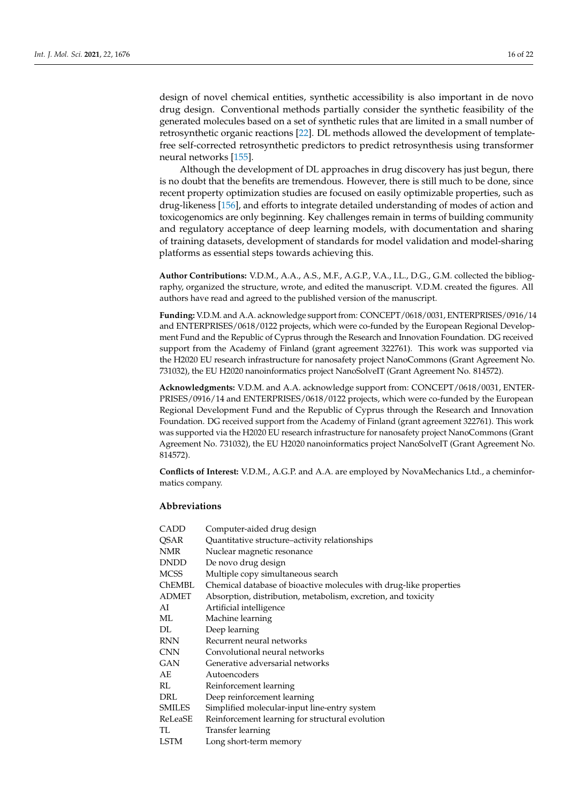design of novel chemical entities, synthetic accessibility is also important in de novo drug design. Conventional methods partially consider the synthetic feasibility of the generated molecules based on a set of synthetic rules that are limited in a small number of retrosynthetic organic reactions [\[22\]](#page-17-7). DL methods allowed the development of templatefree self-corrected retrosynthetic predictors to predict retrosynthesis using transformer neural networks [\[155\]](#page-21-23).

Although the development of DL approaches in drug discovery has just begun, there is no doubt that the benefits are tremendous. However, there is still much to be done, since recent property optimization studies are focused on easily optimizable properties, such as drug-likeness [\[156\]](#page-21-24), and efforts to integrate detailed understanding of modes of action and toxicogenomics are only beginning. Key challenges remain in terms of building community and regulatory acceptance of deep learning models, with documentation and sharing of training datasets, development of standards for model validation and model-sharing platforms as essential steps towards achieving this.

**Author Contributions:** V.D.M., A.A., A.S., M.F., A.G.P., V.A., I.L., D.G., G.M. collected the bibliography, organized the structure, wrote, and edited the manuscript. V.D.M. created the figures. All authors have read and agreed to the published version of the manuscript.

**Funding:** V.D.M. and A.A. acknowledge support from: CONCEPT/0618/0031, ENTERPRISES/0916/14 and ENTERPRISES/0618/0122 projects, which were co-funded by the European Regional Development Fund and the Republic of Cyprus through the Research and Innovation Foundation. DG received support from the Academy of Finland (grant agreement 322761). This work was supported via the H2020 EU research infrastructure for nanosafety project NanoCommons (Grant Agreement No. 731032), the EU H2020 nanoinformatics project NanoSolveIT (Grant Agreement No. 814572).

**Acknowledgments:** V.D.M. and A.A. acknowledge support from: CONCEPT/0618/0031, ENTER-PRISES/0916/14 and ENTERPRISES/0618/0122 projects, which were co-funded by the European Regional Development Fund and the Republic of Cyprus through the Research and Innovation Foundation. DG received support from the Academy of Finland (grant agreement 322761). This work was supported via the H2020 EU research infrastructure for nanosafety project NanoCommons (Grant Agreement No. 731032), the EU H2020 nanoinformatics project NanoSolveIT (Grant Agreement No. 814572).

**Conflicts of Interest:** V.D.M., A.G.P. and A.A. are employed by NovaMechanics Ltd., a cheminformatics company.

## **Abbreviations**

| CADD    | Computer-aided drug design                                         |
|---------|--------------------------------------------------------------------|
| QSAR    | Quantitative structure-activity relationships                      |
| NMR     | Nuclear magnetic resonance                                         |
| DNDD    | De novo drug design                                                |
| MCSS    | Multiple copy simultaneous search                                  |
| ChEMBL  | Chemical database of bioactive molecules with drug-like properties |
| ADMET   | Absorption, distribution, metabolism, excretion, and toxicity      |
| AI      | Artificial intelligence                                            |
| ML      | Machine learning                                                   |
| DL      | Deep learning                                                      |
| RNN     | Recurrent neural networks                                          |
| CNN     | Convolutional neural networks                                      |
| GAN     | Generative adversarial networks                                    |
| AE      | Autoencoders                                                       |
| RL      | Reinforcement learning                                             |
| DRL     | Deep reinforcement learning                                        |
| SMILES  | Simplified molecular-input line-entry system                       |
| ReLeaSE | Reinforcement learning for structural evolution                    |
| TL      | Transfer learning                                                  |
| LSTM    | Long short-term memory                                             |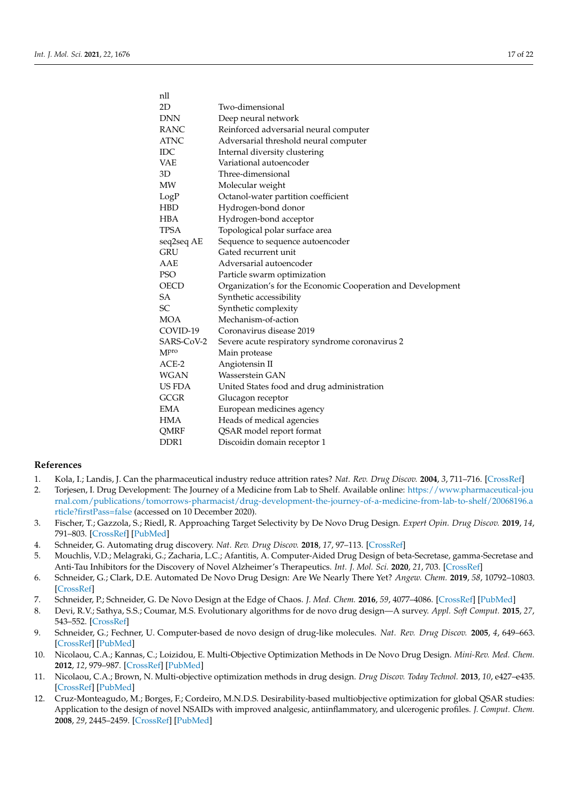nll

| 2D               | Two-dimensional                                             |
|------------------|-------------------------------------------------------------|
| <b>DNN</b>       | Deep neural network                                         |
| RANC             | Reinforced adversarial neural computer                      |
| <b>ATNC</b>      | Adversarial threshold neural computer                       |
| IDC              | Internal diversity clustering                               |
| VAE              | Variational autoencoder                                     |
| 3D               | Three-dimensional                                           |
| MW               | Molecular weight                                            |
| LogP             | Octanol-water partition coefficient                         |
| HBD              | Hydrogen-bond donor                                         |
| HBA              | Hydrogen-bond acceptor                                      |
| <b>TPSA</b>      | Topological polar surface area                              |
| seq2seq AE       | Sequence to sequence autoencoder                            |
| <b>GRU</b>       | Gated recurrent unit                                        |
| AAE              | Adversarial autoencoder                                     |
| PSO              | Particle swarm optimization                                 |
| OECD             | Organization's for the Economic Cooperation and Development |
| SА               | Synthetic accessibility                                     |
| SC               | Synthetic complexity                                        |
| <b>MOA</b>       | Mechanism-of-action                                         |
| COVID-19         | Coronavirus disease 2019                                    |
| SARS-CoV-2       | Severe acute respiratory syndrome coronavirus 2             |
| M <sub>pro</sub> | Main protease                                               |
| $ACE-2$          | Angiotensin II                                              |
| WGAN             | Wasserstein GAN                                             |
| US FDA           | United States food and drug administration                  |
| GCGR             | Glucagon receptor                                           |
| EMA              | European medicines agency                                   |
| HMA              | Heads of medical agencies                                   |
| QMRF             | QSAR model report format                                    |
| DDR <sub>1</sub> | Discoidin domain receptor 1                                 |

#### **References**

- <span id="page-16-0"></span>1. Kola, I.; Landis, J. Can the pharmaceutical industry reduce attrition rates? *Nat. Rev. Drug Discov.* **2004**, *3*, 711–716. [\[CrossRef\]](http://doi.org/10.1038/nrd1470)
- <span id="page-16-1"></span>2. Torjesen, I. Drug Development: The Journey of a Medicine from Lab to Shelf. Available online: [https://www.pharmaceutical-jou](https://www.pharmaceutical-journal.com/publications/tomorrows-pharmacist/drug-development-the-journey-of-a-medicine-from-lab-to-shelf/20068196.article?firstPass=false) [rnal.com/publications/tomorrows-pharmacist/drug-development-the-journey-of-a-medicine-from-lab-to-shelf/20068196.a](https://www.pharmaceutical-journal.com/publications/tomorrows-pharmacist/drug-development-the-journey-of-a-medicine-from-lab-to-shelf/20068196.article?firstPass=false) [rticle?firstPass=false](https://www.pharmaceutical-journal.com/publications/tomorrows-pharmacist/drug-development-the-journey-of-a-medicine-from-lab-to-shelf/20068196.article?firstPass=false) (accessed on 10 December 2020).
- <span id="page-16-2"></span>3. Fischer, T.; Gazzola, S.; Riedl, R. Approaching Target Selectivity by De Novo Drug Design. *Expert Opin. Drug Discov.* **2019**, *14*, 791–803. [\[CrossRef\]](http://doi.org/10.1080/17460441.2019.1615435) [\[PubMed\]](http://www.ncbi.nlm.nih.gov/pubmed/31179763)
- <span id="page-16-3"></span>4. Schneider, G. Automating drug discovery. *Nat. Rev. Drug Discov.* **2018**, *17*, 97–113. [\[CrossRef\]](http://doi.org/10.1038/nrd.2017.232)
- <span id="page-16-4"></span>5. Mouchlis, V.D.; Melagraki, G.; Zacharia, L.C.; Afantitis, A. Computer-Aided Drug Design of beta-Secretase, gamma-Secretase and Anti-Tau Inhibitors for the Discovery of Novel Alzheimer's Therapeutics. *Int. J. Mol. Sci.* **2020**, *21*, 703. [\[CrossRef\]](http://doi.org/10.3390/ijms21030703)
- <span id="page-16-5"></span>6. Schneider, G.; Clark, D.E. Automated De Novo Drug Design: Are We Nearly There Yet? *Angew. Chem.* **2019**, *58*, 10792–10803. [\[CrossRef\]](http://doi.org/10.1002/anie.201814681)
- <span id="page-16-6"></span>7. Schneider, P.; Schneider, G. De Novo Design at the Edge of Chaos. *J. Med. Chem.* **2016**, *59*, 4077–4086. [\[CrossRef\]](http://doi.org/10.1021/acs.jmedchem.5b01849) [\[PubMed\]](http://www.ncbi.nlm.nih.gov/pubmed/26881908)
- <span id="page-16-7"></span>8. Devi, R.V.; Sathya, S.S.; Coumar, M.S. Evolutionary algorithms for de novo drug design—A survey. *Appl. Soft Comput.* **2015**, *27*, 543–552. [\[CrossRef\]](http://doi.org/10.1016/j.asoc.2014.09.042)
- <span id="page-16-8"></span>9. Schneider, G.; Fechner, U. Computer-based de novo design of drug-like molecules. *Nat. Rev. Drug Discov.* **2005**, *4*, 649–663. [\[CrossRef\]](http://doi.org/10.1038/nrd1799) [\[PubMed\]](http://www.ncbi.nlm.nih.gov/pubmed/16056391)
- <span id="page-16-9"></span>10. Nicolaou, C.A.; Kannas, C.; Loizidou, E. Multi-Objective Optimization Methods in De Novo Drug Design. *Mini-Rev. Med. Chem.* **2012**, *12*, 979–987. [\[CrossRef\]](http://doi.org/10.2174/138955712802762284) [\[PubMed\]](http://www.ncbi.nlm.nih.gov/pubmed/22420573)
- 11. Nicolaou, C.A.; Brown, N. Multi-objective optimization methods in drug design. *Drug Discov. Today Technol.* **2013**, *10*, e427–e435. [\[CrossRef\]](http://doi.org/10.1016/j.ddtec.2013.02.001) [\[PubMed\]](http://www.ncbi.nlm.nih.gov/pubmed/24050140)
- 12. Cruz-Monteagudo, M.; Borges, F.; Cordeiro, M.N.D.S. Desirability-based multiobjective optimization for global QSAR studies: Application to the design of novel NSAIDs with improved analgesic, antiinflammatory, and ulcerogenic profiles. *J. Comput. Chem.* **2008**, *29*, 2445–2459. [\[CrossRef\]](http://doi.org/10.1002/jcc.20994) [\[PubMed\]](http://www.ncbi.nlm.nih.gov/pubmed/18452123)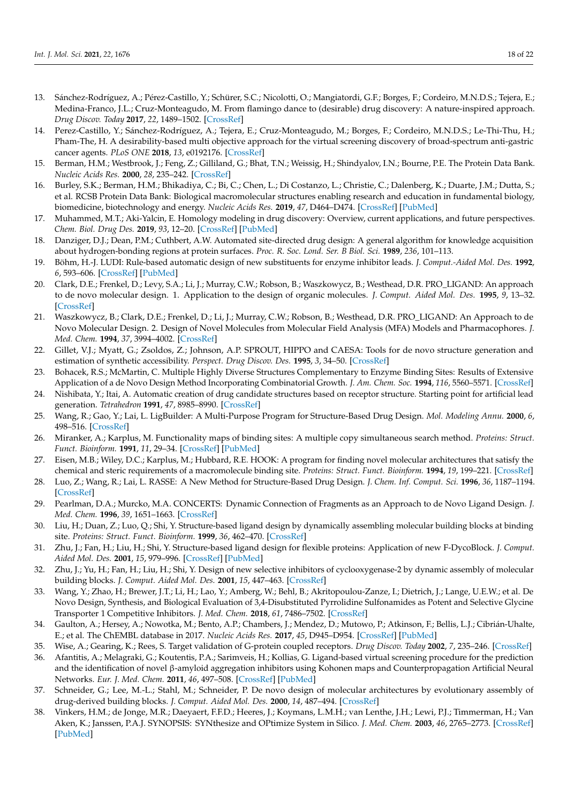- 13. Sánchez-Rodríguez, A.; Pérez-Castillo, Y.; Schürer, S.C.; Nicolotti, O.; Mangiatordi, G.F.; Borges, F.; Cordeiro, M.N.D.S.; Tejera, E.; Medina-Franco, J.L.; Cruz-Monteagudo, M. From flamingo dance to (desirable) drug discovery: A nature-inspired approach. *Drug Discov. Today* **2017**, *22*, 1489–1502. [\[CrossRef\]](http://doi.org/10.1016/j.drudis.2017.05.008)
- <span id="page-17-0"></span>14. Perez-Castillo, Y.; Sánchez-Rodríguez, A.; Tejera, E.; Cruz-Monteagudo, M.; Borges, F.; Cordeiro, M.N.D.S.; Le-Thi-Thu, H.; Pham-The, H. A desirability-based multi objective approach for the virtual screening discovery of broad-spectrum anti-gastric cancer agents. *PLoS ONE* **2018**, *13*, e0192176. [\[CrossRef\]](http://doi.org/10.1371/journal.pone.0192176)
- <span id="page-17-1"></span>15. Berman, H.M.; Westbrook, J.; Feng, Z.; Gilliland, G.; Bhat, T.N.; Weissig, H.; Shindyalov, I.N.; Bourne, P.E. The Protein Data Bank. *Nucleic Acids Res.* **2000**, *28*, 235–242. [\[CrossRef\]](http://doi.org/10.1093/nar/28.1.235)
- <span id="page-17-2"></span>16. Burley, S.K.; Berman, H.M.; Bhikadiya, C.; Bi, C.; Chen, L.; Di Costanzo, L.; Christie, C.; Dalenberg, K.; Duarte, J.M.; Dutta, S.; et al. RCSB Protein Data Bank: Biological macromolecular structures enabling research and education in fundamental biology, biomedicine, biotechnology and energy. *Nucleic Acids Res.* **2019**, *47*, D464–D474. [\[CrossRef\]](http://doi.org/10.1093/nar/gky1004) [\[PubMed\]](http://www.ncbi.nlm.nih.gov/pubmed/30357411)
- <span id="page-17-3"></span>17. Muhammed, M.T.; Aki-Yalcin, E. Homology modeling in drug discovery: Overview, current applications, and future perspectives. *Chem. Biol. Drug Des.* **2019**, *93*, 12–20. [\[CrossRef\]](http://doi.org/10.1111/cbdd.13388) [\[PubMed\]](http://www.ncbi.nlm.nih.gov/pubmed/30187647)
- <span id="page-17-4"></span>18. Danziger, D.J.; Dean, P.M.; Cuthbert, A.W. Automated site-directed drug design: A general algorithm for knowledge acquisition about hydrogen-bonding regions at protein surfaces. *Proc. R. Soc. Lond. Ser. B Biol. Sci.* **1989**, *236*, 101–113.
- <span id="page-17-5"></span>19. Böhm, H.-J. LUDI: Rule-based automatic design of new substituents for enzyme inhibitor leads. *J. Comput.-Aided Mol. Des.* **1992**, *6*, 593–606. [\[CrossRef\]](http://doi.org/10.1007/BF00126217) [\[PubMed\]](http://www.ncbi.nlm.nih.gov/pubmed/1291628)
- <span id="page-17-21"></span>20. Clark, D.E.; Frenkel, D.; Levy, S.A.; Li, J.; Murray, C.W.; Robson, B.; Waszkowycz, B.; Westhead, D.R. PRO\_LIGAND: An approach to de novo molecular design. 1. Application to the design of organic molecules. *J. Comput. Aided Mol. Des.* **1995**, *9*, 13–32. [\[CrossRef\]](http://doi.org/10.1007/BF00117275)
- <span id="page-17-6"></span>21. Waszkowycz, B.; Clark, D.E.; Frenkel, D.; Li, J.; Murray, C.W.; Robson, B.; Westhead, D.R. PRO\_LIGAND: An Approach to de Novo Molecular Design. 2. Design of Novel Molecules from Molecular Field Analysis (MFA) Models and Pharmacophores. *J. Med. Chem.* **1994**, *37*, 3994–4002. [\[CrossRef\]](http://doi.org/10.1021/jm00049a019)
- <span id="page-17-7"></span>22. Gillet, V.J.; Myatt, G.; Zsoldos, Z.; Johnson, A.P. SPROUT, HIPPO and CAESA: Tools for de novo structure generation and estimation of synthetic accessibility. *Perspect. Drug Discov. Des.* **1995**, *3*, 34–50. [\[CrossRef\]](http://doi.org/10.1007/BF02174466)
- <span id="page-17-8"></span>23. Bohacek, R.S.; McMartin, C. Multiple Highly Diverse Structures Complementary to Enzyme Binding Sites: Results of Extensive Application of a de Novo Design Method Incorporating Combinatorial Growth. *J. Am. Chem. Soc.* **1994**, *116*, 5560–5571. [\[CrossRef\]](http://doi.org/10.1021/ja00092a006)
- <span id="page-17-20"></span>24. Nishibata, Y.; Itai, A. Automatic creation of drug candidate structures based on receptor structure. Starting point for artificial lead generation. *Tetrahedron* **1991**, *47*, 8985–8990. [\[CrossRef\]](http://doi.org/10.1016/S0040-4020(01)86503-0)
- <span id="page-17-9"></span>25. Wang, R.; Gao, Y.; Lai, L. LigBuilder: A Multi-Purpose Program for Structure-Based Drug Design. *Mol. Modeling Annu.* **2000**, *6*, 498–516. [\[CrossRef\]](http://doi.org/10.1007/s0089400060498)
- <span id="page-17-10"></span>26. Miranker, A.; Karplus, M. Functionality maps of binding sites: A multiple copy simultaneous search method. *Proteins: Struct. Funct. Bioinform.* **1991**, *11*, 29–34. [\[CrossRef\]](http://doi.org/10.1002/prot.340110104) [\[PubMed\]](http://www.ncbi.nlm.nih.gov/pubmed/1961699)
- <span id="page-17-11"></span>27. Eisen, M.B.; Wiley, D.C.; Karplus, M.; Hubbard, R.E. HOOK: A program for finding novel molecular architectures that satisfy the chemical and steric requirements of a macromolecule binding site. *Proteins: Struct. Funct. Bioinform.* **1994**, *19*, 199–221. [\[CrossRef\]](http://doi.org/10.1002/prot.340190305)
- <span id="page-17-12"></span>28. Luo, Z.; Wang, R.; Lai, L. RASSE: A New Method for Structure-Based Drug Design. *J. Chem. Inf. Comput. Sci.* **1996**, *36*, 1187–1194. [\[CrossRef\]](http://doi.org/10.1021/ci950277w)
- <span id="page-17-22"></span>29. Pearlman, D.A.; Murcko, M.A. CONCERTS: Dynamic Connection of Fragments as an Approach to de Novo Ligand Design. *J. Med. Chem.* **1996**, *39*, 1651–1663. [\[CrossRef\]](http://doi.org/10.1021/jm950792l)
- 30. Liu, H.; Duan, Z.; Luo, Q.; Shi, Y. Structure-based ligand design by dynamically assembling molecular building blocks at binding site. *Proteins: Struct. Funct. Bioinform.* **1999**, *36*, 462–470. [\[CrossRef\]](http://doi.org/10.1002/(SICI)1097-0134(19990901)36:4<462::AID-PROT10>3.0.CO;2-7)
- 31. Zhu, J.; Fan, H.; Liu, H.; Shi, Y. Structure-based ligand design for flexible proteins: Application of new F-DycoBlock. *J. Comput. Aided Mol. Des.* **2001**, *15*, 979–996. [\[CrossRef\]](http://doi.org/10.1023/A:1014817911249) [\[PubMed\]](http://www.ncbi.nlm.nih.gov/pubmed/11989626)
- <span id="page-17-13"></span>32. Zhu, J.; Yu, H.; Fan, H.; Liu, H.; Shi, Y. Design of new selective inhibitors of cyclooxygenase-2 by dynamic assembly of molecular building blocks. *J. Comput. Aided Mol. Des.* **2001**, *15*, 447–463. [\[CrossRef\]](http://doi.org/10.1023/A:1011114307711)
- <span id="page-17-14"></span>33. Wang, Y.; Zhao, H.; Brewer, J.T.; Li, H.; Lao, Y.; Amberg, W.; Behl, B.; Akritopoulou-Zanze, I.; Dietrich, J.; Lange, U.E.W.; et al. De Novo Design, Synthesis, and Biological Evaluation of 3,4-Disubstituted Pyrrolidine Sulfonamides as Potent and Selective Glycine Transporter 1 Competitive Inhibitors. *J. Med. Chem.* **2018**, *61*, 7486–7502. [\[CrossRef\]](http://doi.org/10.1021/acs.jmedchem.8b00295)
- <span id="page-17-15"></span>34. Gaulton, A.; Hersey, A.; Nowotka, M.; Bento, A.P.; Chambers, J.; Mendez, D.; Mutowo, P.; Atkinson, F.; Bellis, L.J.; Cibrián-Uhalte, E.; et al. The ChEMBL database in 2017. *Nucleic Acids Res.* **2017**, *45*, D945–D954. [\[CrossRef\]](http://doi.org/10.1093/nar/gkw1074) [\[PubMed\]](http://www.ncbi.nlm.nih.gov/pubmed/27899562)
- <span id="page-17-16"></span>35. Wise, A.; Gearing, K.; Rees, S. Target validation of G-protein coupled receptors. *Drug Discov. Today* **2002**, *7*, 235–246. [\[CrossRef\]](http://doi.org/10.1016/S1359-6446(01)02131-6)
- <span id="page-17-17"></span>36. Afantitis, A.; Melagraki, G.; Koutentis, P.A.; Sarimveis, H.; Kollias, G. Ligand-based virtual screening procedure for the prediction and the identification of novel β-amyloid aggregation inhibitors using Kohonen maps and Counterpropagation Artificial Neural Networks. *Eur. J. Med. Chem.* **2011**, *46*, 497–508. [\[CrossRef\]](http://doi.org/10.1016/j.ejmech.2010.11.029) [\[PubMed\]](http://www.ncbi.nlm.nih.gov/pubmed/21167625)
- <span id="page-17-18"></span>37. Schneider, G.; Lee, M.-L.; Stahl, M.; Schneider, P. De novo design of molecular architectures by evolutionary assembly of drug-derived building blocks. *J. Comput. Aided Mol. Des.* **2000**, *14*, 487–494. [\[CrossRef\]](http://doi.org/10.1023/A:1008184403558)
- <span id="page-17-19"></span>38. Vinkers, H.M.; de Jonge, M.R.; Daeyaert, F.F.D.; Heeres, J.; Koymans, L.M.H.; van Lenthe, J.H.; Lewi, P.J.; Timmerman, H.; Van Aken, K.; Janssen, P.A.J. SYNOPSIS: SYNthesize and OPtimize System in Silico. *J. Med. Chem.* **2003**, *46*, 2765–2773. [\[CrossRef\]](http://doi.org/10.1021/jm030809x) [\[PubMed\]](http://www.ncbi.nlm.nih.gov/pubmed/12801239)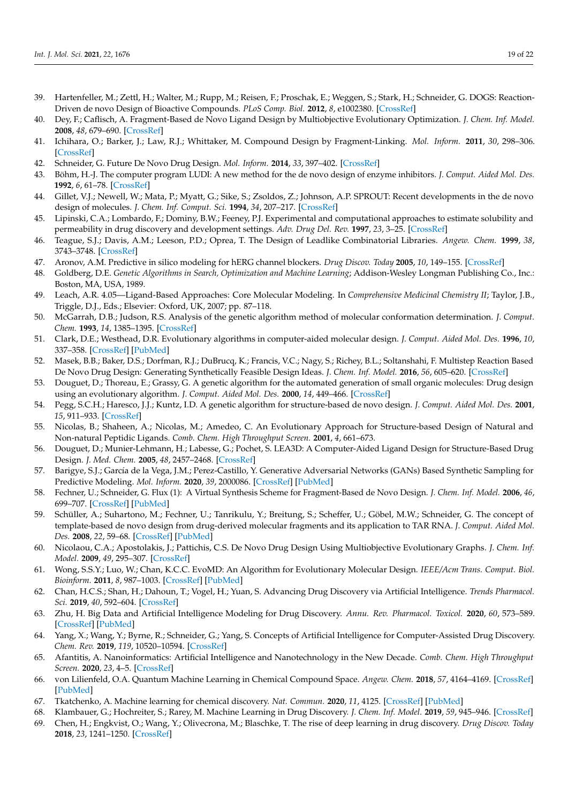- <span id="page-18-0"></span>39. Hartenfeller, M.; Zettl, H.; Walter, M.; Rupp, M.; Reisen, F.; Proschak, E.; Weggen, S.; Stark, H.; Schneider, G. DOGS: Reaction-Driven de novo Design of Bioactive Compounds. *PLoS Comp. Biol.* **2012**, *8*, e1002380. [\[CrossRef\]](http://doi.org/10.1371/journal.pcbi.1002380)
- <span id="page-18-1"></span>40. Dey, F.; Caflisch, A. Fragment-Based de Novo Ligand Design by Multiobjective Evolutionary Optimization. *J. Chem. Inf. Model.* **2008**, *48*, 679–690. [\[CrossRef\]](http://doi.org/10.1021/ci700424b)
- 41. Ichihara, O.; Barker, J.; Law, R.J.; Whittaker, M. Compound Design by Fragment-Linking. *Mol. Inform.* **2011**, *30*, 298–306. [\[CrossRef\]](http://doi.org/10.1002/minf.201000174)
- <span id="page-18-2"></span>42. Schneider, G. Future De Novo Drug Design. *Mol. Inform.* **2014**, *33*, 397–402. [\[CrossRef\]](http://doi.org/10.1002/minf.201400034)
- <span id="page-18-3"></span>43. Böhm, H.-J. The computer program LUDI: A new method for the de novo design of enzyme inhibitors. *J. Comput. Aided Mol. Des.* **1992**, *6*, 61–78. [\[CrossRef\]](http://doi.org/10.1007/BF00124387)
- <span id="page-18-4"></span>44. Gillet, V.J.; Newell, W.; Mata, P.; Myatt, G.; Sike, S.; Zsoldos, Z.; Johnson, A.P. SPROUT: Recent developments in the de novo design of molecules. *J. Chem. Inf. Comput. Sci.* **1994**, *34*, 207–217. [\[CrossRef\]](http://doi.org/10.1021/ci00017a027)
- <span id="page-18-5"></span>45. Lipinski, C.A.; Lombardo, F.; Dominy, B.W.; Feeney, P.J. Experimental and computational approaches to estimate solubility and permeability in drug discovery and development settings. *Adv. Drug Del. Rev.* **1997**, *23*, 3–25. [\[CrossRef\]](http://doi.org/10.1016/S0169-409X(96)00423-1)
- 46. Teague, S.J.; Davis, A.M.; Leeson, P.D.; Oprea, T. The Design of Leadlike Combinatorial Libraries. *Angew. Chem.* **1999**, *38*, 3743–3748. [\[CrossRef\]](http://doi.org/10.1002/(SICI)1521-3773(19991216)38:24<3743::AID-ANIE3743>3.0.CO;2-U)
- <span id="page-18-6"></span>47. Aronov, A.M. Predictive in silico modeling for hERG channel blockers. *Drug Discov. Today* **2005**, *10*, 149–155. [\[CrossRef\]](http://doi.org/10.1016/S1359-6446(04)03278-7)
- <span id="page-18-7"></span>48. Goldberg, D.E. *Genetic Algorithms in Search, Optimization and Machine Learning*; Addison-Wesley Longman Publishing Co., Inc.: Boston, MA, USA, 1989.
- <span id="page-18-8"></span>49. Leach, A.R. 4.05—Ligand-Based Approaches: Core Molecular Modeling. In *Comprehensive Medicinal Chemistry II*; Taylor, J.B., Triggle, D.J., Eds.; Elsevier: Oxford, UK, 2007; pp. 87–118.
- <span id="page-18-9"></span>50. McGarrah, D.B.; Judson, R.S. Analysis of the genetic algorithm method of molecular conformation determination. *J. Comput. Chem.* **1993**, *14*, 1385–1395. [\[CrossRef\]](http://doi.org/10.1002/jcc.540141115)
- 51. Clark, D.E.; Westhead, D.R. Evolutionary algorithms in computer-aided molecular design. *J. Comput. Aided Mol. Des.* **1996**, *10*, 337–358. [\[CrossRef\]](http://doi.org/10.1007/BF00124503) [\[PubMed\]](http://www.ncbi.nlm.nih.gov/pubmed/8877705)
- <span id="page-18-10"></span>52. Masek, B.B.; Baker, D.S.; Dorfman, R.J.; DuBrucq, K.; Francis, V.C.; Nagy, S.; Richey, B.L.; Soltanshahi, F. Multistep Reaction Based De Novo Drug Design: Generating Synthetically Feasible Design Ideas. *J. Chem. Inf. Model.* **2016**, *56*, 605–620. [\[CrossRef\]](http://doi.org/10.1021/acs.jcim.5b00697)
- <span id="page-18-11"></span>53. Douguet, D.; Thoreau, E.; Grassy, G. A genetic algorithm for the automated generation of small organic molecules: Drug design using an evolutionary algorithm. *J. Comput. Aided Mol. Des.* **2000**, *14*, 449–466. [\[CrossRef\]](http://doi.org/10.1023/A:1008108423895)
- <span id="page-18-12"></span>54. Pegg, S.C.H.; Haresco, J.J.; Kuntz, I.D. A genetic algorithm for structure-based de novo design. *J. Comput. Aided Mol. Des.* **2001**, *15*, 911–933. [\[CrossRef\]](http://doi.org/10.1023/A:1014389729000)
- <span id="page-18-13"></span>55. Nicolas, B.; Shaheen, A.; Nicolas, M.; Amedeo, C. An Evolutionary Approach for Structure-based Design of Natural and Non-natural Peptidic Ligands. *Comb. Chem. High Throughput Screen.* **2001**, *4*, 661–673.
- <span id="page-18-14"></span>56. Douguet, D.; Munier-Lehmann, H.; Labesse, G.; Pochet, S. LEA3D: A Computer-Aided Ligand Design for Structure-Based Drug Design. *J. Med. Chem.* **2005**, *48*, 2457–2468. [\[CrossRef\]](http://doi.org/10.1021/jm0492296)
- <span id="page-18-15"></span>57. Barigye, S.J.; García de la Vega, J.M.; Perez-Castillo, Y. Generative Adversarial Networks (GANs) Based Synthetic Sampling for Predictive Modeling. *Mol. Inform.* **2020**, *39*, 2000086. [\[CrossRef\]](http://doi.org/10.1002/minf.202000086) [\[PubMed\]](http://www.ncbi.nlm.nih.gov/pubmed/32558335)
- <span id="page-18-16"></span>58. Fechner, U.; Schneider, G. Flux (1): A Virtual Synthesis Scheme for Fragment-Based de Novo Design. *J. Chem. Inf. Model.* **2006**, *46*, 699–707. [\[CrossRef\]](http://doi.org/10.1021/ci0503560) [\[PubMed\]](http://www.ncbi.nlm.nih.gov/pubmed/16563000)
- <span id="page-18-17"></span>59. Schüller, A.; Suhartono, M.; Fechner, U.; Tanrikulu, Y.; Breitung, S.; Scheffer, U.; Göbel, M.W.; Schneider, G. The concept of template-based de novo design from drug-derived molecular fragments and its application to TAR RNA. *J. Comput. Aided Mol. Des.* **2008**, *22*, 59–68. [\[CrossRef\]](http://doi.org/10.1007/s10822-007-9157-4) [\[PubMed\]](http://www.ncbi.nlm.nih.gov/pubmed/18064402)
- <span id="page-18-18"></span>60. Nicolaou, C.A.; Apostolakis, J.; Pattichis, C.S. De Novo Drug Design Using Multiobjective Evolutionary Graphs. *J. Chem. Inf. Model.* **2009**, *49*, 295–307. [\[CrossRef\]](http://doi.org/10.1021/ci800308h)
- <span id="page-18-19"></span>61. Wong, S.S.Y.; Luo, W.; Chan, K.C.C. EvoMD: An Algorithm for Evolutionary Molecular Design. *IEEE/Acm Trans. Comput. Biol. Bioinform.* **2011**, *8*, 987–1003. [\[CrossRef\]](http://doi.org/10.1109/TCBB.2010.100) [\[PubMed\]](http://www.ncbi.nlm.nih.gov/pubmed/20876937)
- <span id="page-18-20"></span>62. Chan, H.C.S.; Shan, H.; Dahoun, T.; Vogel, H.; Yuan, S. Advancing Drug Discovery via Artificial Intelligence. *Trends Pharmacol. Sci.* **2019**, *40*, 592–604. [\[CrossRef\]](http://doi.org/10.1016/j.tips.2019.06.004)
- 63. Zhu, H. Big Data and Artificial Intelligence Modeling for Drug Discovery. *Annu. Rev. Pharmacol. Toxicol.* **2020**, *60*, 573–589. [\[CrossRef\]](http://doi.org/10.1146/annurev-pharmtox-010919-023324) [\[PubMed\]](http://www.ncbi.nlm.nih.gov/pubmed/31518513)
- 64. Yang, X.; Wang, Y.; Byrne, R.; Schneider, G.; Yang, S. Concepts of Artificial Intelligence for Computer-Assisted Drug Discovery. *Chem. Rev.* **2019**, *119*, 10520–10594. [\[CrossRef\]](http://doi.org/10.1021/acs.chemrev.8b00728)
- <span id="page-18-21"></span>65. Afantitis, A. Nanoinformatics: Artificial Intelligence and Nanotechnology in the New Decade. *Comb. Chem. High Throughput Screen.* **2020**, *23*, 4–5. [\[CrossRef\]](http://doi.org/10.2174/138620732301200316112000)
- <span id="page-18-22"></span>66. von Lilienfeld, O.A. Quantum Machine Learning in Chemical Compound Space. *Angew. Chem.* **2018**, *57*, 4164–4169. [\[CrossRef\]](http://doi.org/10.1002/anie.201709686) [\[PubMed\]](http://www.ncbi.nlm.nih.gov/pubmed/29216413)
- <span id="page-18-23"></span>67. Tkatchenko, A. Machine learning for chemical discovery. *Nat. Commun.* **2020**, *11*, 4125. [\[CrossRef\]](http://doi.org/10.1038/s41467-020-17844-8) [\[PubMed\]](http://www.ncbi.nlm.nih.gov/pubmed/32807794)
- <span id="page-18-25"></span><span id="page-18-24"></span>68. Klambauer, G.; Hochreiter, S.; Rarey, M. Machine Learning in Drug Discovery. *J. Chem. Inf. Model.* **2019**, *59*, 945–946. [\[CrossRef\]](http://doi.org/10.1021/acs.jcim.9b00136) 69. Chen, H.; Engkvist, O.; Wang, Y.; Olivecrona, M.; Blaschke, T. The rise of deep learning in drug discovery. *Drug Discov. Today* **2018**, *23*, 1241–1250. [\[CrossRef\]](http://doi.org/10.1016/j.drudis.2018.01.039)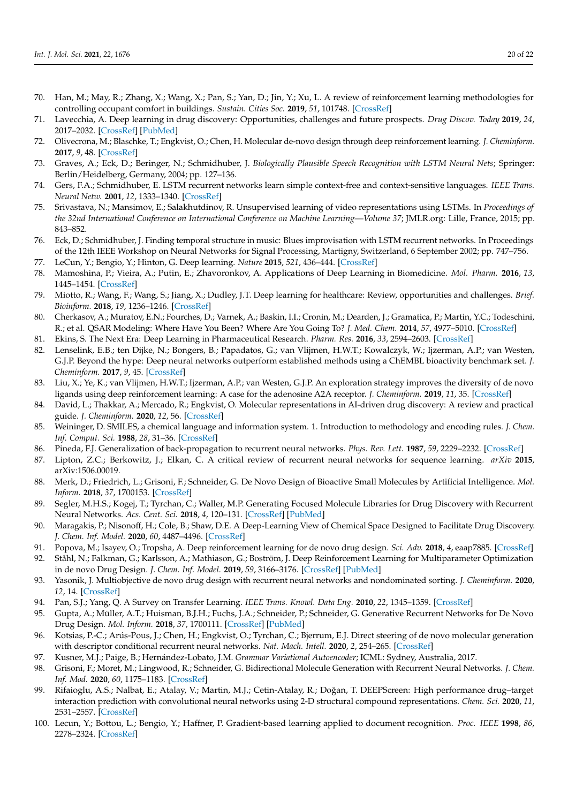- <span id="page-19-0"></span>70. Han, M.; May, R.; Zhang, X.; Wang, X.; Pan, S.; Yan, D.; Jin, Y.; Xu, L. A review of reinforcement learning methodologies for controlling occupant comfort in buildings. *Sustain. Cities Soc.* **2019**, *51*, 101748. [\[CrossRef\]](http://doi.org/10.1016/j.scs.2019.101748)
- <span id="page-19-1"></span>71. Lavecchia, A. Deep learning in drug discovery: Opportunities, challenges and future prospects. *Drug Discov. Today* **2019**, *24*, 2017–2032. [\[CrossRef\]](http://doi.org/10.1016/j.drudis.2019.07.006) [\[PubMed\]](http://www.ncbi.nlm.nih.gov/pubmed/31377227)
- <span id="page-19-2"></span>72. Olivecrona, M.; Blaschke, T.; Engkvist, O.; Chen, H. Molecular de-novo design through deep reinforcement learning. *J. Cheminform.* **2017**, *9*, 48. [\[CrossRef\]](http://doi.org/10.1186/s13321-017-0235-x)
- <span id="page-19-3"></span>73. Graves, A.; Eck, D.; Beringer, N.; Schmidhuber, J. *Biologically Plausible Speech Recognition with LSTM Neural Nets*; Springer: Berlin/Heidelberg, Germany, 2004; pp. 127–136.
- <span id="page-19-4"></span>74. Gers, F.A.; Schmidhuber, E. LSTM recurrent networks learn simple context-free and context-sensitive languages. *IEEE Trans. Neural Netw.* **2001**, *12*, 1333–1340. [\[CrossRef\]](http://doi.org/10.1109/72.963769)
- <span id="page-19-5"></span>75. Srivastava, N.; Mansimov, E.; Salakhutdinov, R. Unsupervised learning of video representations using LSTMs. In *Proceedings of the 32nd International Conference on International Conference on Machine Learning—Volume 37*; JMLR.org: Lille, France, 2015; pp. 843–852.
- <span id="page-19-6"></span>76. Eck, D.; Schmidhuber, J. Finding temporal structure in music: Blues improvisation with LSTM recurrent networks. In Proceedings of the 12th IEEE Workshop on Neural Networks for Signal Processing, Martigny, Switzerland, 6 September 2002; pp. 747–756.
- <span id="page-19-7"></span>77. LeCun, Y.; Bengio, Y.; Hinton, G. Deep learning. *Nature* **2015**, *521*, 436–444. [\[CrossRef\]](http://doi.org/10.1038/nature14539)
- <span id="page-19-8"></span>78. Mamoshina, P.; Vieira, A.; Putin, E.; Zhavoronkov, A. Applications of Deep Learning in Biomedicine. *Mol. Pharm.* **2016**, *13*, 1445–1454. [\[CrossRef\]](http://doi.org/10.1021/acs.molpharmaceut.5b00982)
- <span id="page-19-9"></span>79. Miotto, R.; Wang, F.; Wang, S.; Jiang, X.; Dudley, J.T. Deep learning for healthcare: Review, opportunities and challenges. *Brief. Bioinform.* **2018**, *19*, 1236–1246. [\[CrossRef\]](http://doi.org/10.1093/bib/bbx044)
- <span id="page-19-10"></span>80. Cherkasov, A.; Muratov, E.N.; Fourches, D.; Varnek, A.; Baskin, I.I.; Cronin, M.; Dearden, J.; Gramatica, P.; Martin, Y.C.; Todeschini, R.; et al. QSAR Modeling: Where Have You Been? Where Are You Going To? *J. Med. Chem.* **2014**, *57*, 4977–5010. [\[CrossRef\]](http://doi.org/10.1021/jm4004285)
- <span id="page-19-11"></span>81. Ekins, S. The Next Era: Deep Learning in Pharmaceutical Research. *Pharm. Res.* **2016**, *33*, 2594–2603. [\[CrossRef\]](http://doi.org/10.1007/s11095-016-2029-7)
- <span id="page-19-12"></span>82. Lenselink, E.B.; ten Dijke, N.; Bongers, B.; Papadatos, G.; van Vlijmen, H.W.T.; Kowalczyk, W.; Ijzerman, A.P.; van Westen, G.J.P. Beyond the hype: Deep neural networks outperform established methods using a ChEMBL bioactivity benchmark set. *J. Cheminform.* **2017**, *9*, 45. [\[CrossRef\]](http://doi.org/10.1186/s13321-017-0232-0)
- <span id="page-19-13"></span>83. Liu, X.; Ye, K.; van Vlijmen, H.W.T.; Ijzerman, A.P.; van Westen, G.J.P. An exploration strategy improves the diversity of de novo ligands using deep reinforcement learning: A case for the adenosine A2A receptor. *J. Cheminform.* **2019**, *11*, 35. [\[CrossRef\]](http://doi.org/10.1186/s13321-019-0355-6)
- <span id="page-19-14"></span>84. David, L.; Thakkar, A.; Mercado, R.; Engkvist, O. Molecular representations in AI-driven drug discovery: A review and practical guide. *J. Cheminform.* **2020**, *12*, 56. [\[CrossRef\]](http://doi.org/10.1186/s13321-020-00460-5)
- <span id="page-19-15"></span>85. Weininger, D. SMILES, a chemical language and information system. 1. Introduction to methodology and encoding rules. *J. Chem. Inf. Comput. Sci.* **1988**, *28*, 31–36. [\[CrossRef\]](http://doi.org/10.1021/ci00057a005)
- <span id="page-19-16"></span>86. Pineda, F.J. Generalization of back-propagation to recurrent neural networks. *Phys. Rev. Lett.* **1987**, *59*, 2229–2232. [\[CrossRef\]](http://doi.org/10.1103/PhysRevLett.59.2229)
- <span id="page-19-17"></span>87. Lipton, Z.C.; Berkowitz, J.; Elkan, C. A critical review of recurrent neural networks for sequence learning. *arXiv* **2015**, arXiv:1506.00019.
- <span id="page-19-18"></span>88. Merk, D.; Friedrich, L.; Grisoni, F.; Schneider, G. De Novo Design of Bioactive Small Molecules by Artificial Intelligence. *Mol. Inform.* **2018**, *37*, 1700153. [\[CrossRef\]](http://doi.org/10.1002/minf.201700153)
- <span id="page-19-26"></span>89. Segler, M.H.S.; Kogej, T.; Tyrchan, C.; Waller, M.P. Generating Focused Molecule Libraries for Drug Discovery with Recurrent Neural Networks. *Acs. Cent. Sci.* **2018**, *4*, 120–131. [\[CrossRef\]](http://doi.org/10.1021/acscentsci.7b00512) [\[PubMed\]](http://www.ncbi.nlm.nih.gov/pubmed/29392184)
- <span id="page-19-19"></span>90. Maragakis, P.; Nisonoff, H.; Cole, B.; Shaw, D.E. A Deep-Learning View of Chemical Space Designed to Facilitate Drug Discovery. *J. Chem. Inf. Model.* **2020**, *60*, 4487–4496. [\[CrossRef\]](http://doi.org/10.1021/acs.jcim.0c00321)
- <span id="page-19-20"></span>91. Popova, M.; Isayev, O.; Tropsha, A. Deep reinforcement learning for de novo drug design. *Sci. Adv.* **2018**, *4*, eaap7885. [\[CrossRef\]](http://doi.org/10.1126/sciadv.aap7885)
- <span id="page-19-21"></span>92. Ståhl, N.; Falkman, G.; Karlsson, A.; Mathiason, G.; Boström, J. Deep Reinforcement Learning for Multiparameter Optimization in de novo Drug Design. *J. Chem. Inf. Model.* **2019**, *59*, 3166–3176. [\[CrossRef\]](http://doi.org/10.1021/acs.jcim.9b00325) [\[PubMed\]](http://www.ncbi.nlm.nih.gov/pubmed/31273995)
- <span id="page-19-22"></span>93. Yasonik, J. Multiobjective de novo drug design with recurrent neural networks and nondominated sorting. *J. Cheminform.* **2020**, *12*, 14. [\[CrossRef\]](http://doi.org/10.1186/s13321-020-00419-6)
- <span id="page-19-23"></span>94. Pan, S.J.; Yang, Q. A Survey on Transfer Learning. *IEEE Trans. Knowl. Data Eng.* **2010**, *22*, 1345–1359. [\[CrossRef\]](http://doi.org/10.1109/TKDE.2009.191)
- <span id="page-19-24"></span>95. Gupta, A.; Müller, A.T.; Huisman, B.J.H.; Fuchs, J.A.; Schneider, P.; Schneider, G. Generative Recurrent Networks for De Novo Drug Design. *Mol. Inform.* **2018**, *37*, 1700111. [\[CrossRef\]](http://doi.org/10.1002/minf.201700111) [\[PubMed\]](http://www.ncbi.nlm.nih.gov/pubmed/29095571)
- <span id="page-19-25"></span>96. Kotsias, P.-C.; Arús-Pous, J.; Chen, H.; Engkvist, O.; Tyrchan, C.; Bjerrum, E.J. Direct steering of de novo molecular generation with descriptor conditional recurrent neural networks. *Nat. Mach. Intell.* **2020**, *2*, 254–265. [\[CrossRef\]](http://doi.org/10.1038/s42256-020-0174-5)
- <span id="page-19-27"></span>97. Kusner, M.J.; Paige, B.; Hernández-Lobato, J.M. *Grammar Variational Autoencoder*; ICML: Sydney, Australia, 2017.
- <span id="page-19-28"></span>98. Grisoni, F.; Moret, M.; Lingwood, R.; Schneider, G. Bidirectional Molecule Generation with Recurrent Neural Networks. *J. Chem. Inf. Mod.* **2020**, *60*, 1175–1183. [\[CrossRef\]](http://doi.org/10.1021/acs.jcim.9b00943)
- <span id="page-19-29"></span>99. Rifaioglu, A.S.; Nalbat, E.; Atalay, V.; Martin, M.J.; Cetin-Atalay, R.; Doğan, T. DEEPScreen: High performance drug-target interaction prediction with convolutional neural networks using 2-D structural compound representations. *Chem. Sci.* **2020**, *11*, 2531–2557. [\[CrossRef\]](http://doi.org/10.1039/C9SC03414E)
- 100. Lecun, Y.; Bottou, L.; Bengio, Y.; Haffner, P. Gradient-based learning applied to document recognition. *Proc. IEEE* **1998**, *86*, 2278–2324. [\[CrossRef\]](http://doi.org/10.1109/5.726791)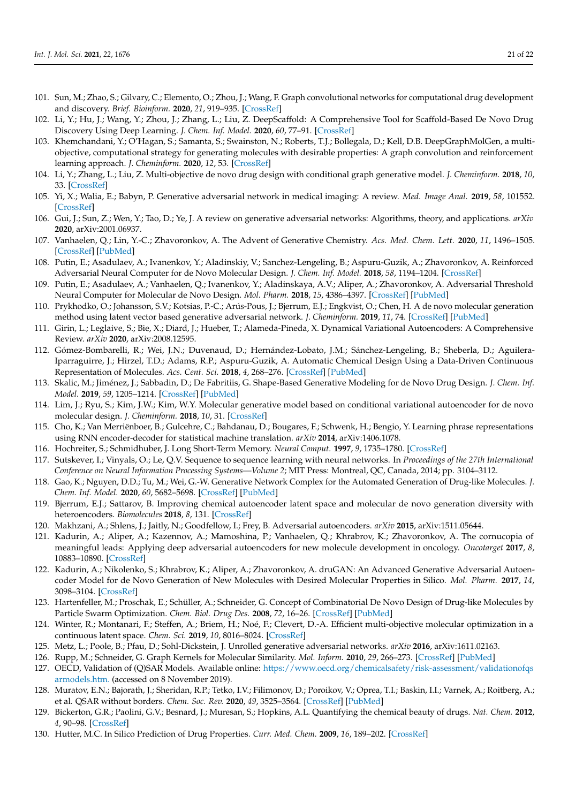- <span id="page-20-0"></span>101. Sun, M.; Zhao, S.; Gilvary, C.; Elemento, O.; Zhou, J.; Wang, F. Graph convolutional networks for computational drug development and discovery. *Brief. Bioinform.* **2020**, *21*, 919–935. [\[CrossRef\]](http://doi.org/10.1093/bib/bbz042)
- <span id="page-20-1"></span>102. Li, Y.; Hu, J.; Wang, Y.; Zhou, J.; Zhang, L.; Liu, Z. DeepScaffold: A Comprehensive Tool for Scaffold-Based De Novo Drug Discovery Using Deep Learning. *J. Chem. Inf. Model.* **2020**, *60*, 77–91. [\[CrossRef\]](http://doi.org/10.1021/acs.jcim.9b00727)
- <span id="page-20-2"></span>103. Khemchandani, Y.; O'Hagan, S.; Samanta, S.; Swainston, N.; Roberts, T.J.; Bollegala, D.; Kell, D.B. DeepGraphMolGen, a multiobjective, computational strategy for generating molecules with desirable properties: A graph convolution and reinforcement learning approach. *J. Cheminform.* **2020**, *12*, 53. [\[CrossRef\]](http://doi.org/10.1186/s13321-020-00454-3)
- <span id="page-20-3"></span>104. Li, Y.; Zhang, L.; Liu, Z. Multi-objective de novo drug design with conditional graph generative model. *J. Cheminform.* **2018**, *10*, 33. [\[CrossRef\]](http://doi.org/10.1186/s13321-018-0287-6)
- <span id="page-20-4"></span>105. Yi, X.; Walia, E.; Babyn, P. Generative adversarial network in medical imaging: A review. *Med. Image Anal.* **2019**, *58*, 101552. [\[CrossRef\]](http://doi.org/10.1016/j.media.2019.101552)
- 106. Gui, J.; Sun, Z.; Wen, Y.; Tao, D.; Ye, J. A review on generative adversarial networks: Algorithms, theory, and applications. *arXiv* **2020**, arXiv:2001.06937.
- <span id="page-20-5"></span>107. Vanhaelen, Q.; Lin, Y.-C.; Zhavoronkov, A. The Advent of Generative Chemistry. *Acs. Med. Chem. Lett.* **2020**, *11*, 1496–1505. [\[CrossRef\]](http://doi.org/10.1021/acsmedchemlett.0c00088) [\[PubMed\]](http://www.ncbi.nlm.nih.gov/pubmed/32832015)
- <span id="page-20-6"></span>108. Putin, E.; Asadulaev, A.; Ivanenkov, Y.; Aladinskiy, V.; Sanchez-Lengeling, B.; Aspuru-Guzik, A.; Zhavoronkov, A. Reinforced Adversarial Neural Computer for de Novo Molecular Design. *J. Chem. Inf. Model.* **2018**, *58*, 1194–1204. [\[CrossRef\]](http://doi.org/10.1021/acs.jcim.7b00690)
- <span id="page-20-7"></span>109. Putin, E.; Asadulaev, A.; Vanhaelen, Q.; Ivanenkov, Y.; Aladinskaya, A.V.; Aliper, A.; Zhavoronkov, A. Adversarial Threshold Neural Computer for Molecular de Novo Design. *Mol. Pharm.* **2018**, *15*, 4386–4397. [\[CrossRef\]](http://doi.org/10.1021/acs.molpharmaceut.7b01137) [\[PubMed\]](http://www.ncbi.nlm.nih.gov/pubmed/29569445)
- <span id="page-20-8"></span>110. Prykhodko, O.; Johansson, S.V.; Kotsias, P.-C.; Arús-Pous, J.; Bjerrum, E.J.; Engkvist, O.; Chen, H. A de novo molecular generation method using latent vector based generative adversarial network. *J. Cheminform.* **2019**, *11*, 74. [\[CrossRef\]](http://doi.org/10.1186/s13321-019-0397-9) [\[PubMed\]](http://www.ncbi.nlm.nih.gov/pubmed/33430938)
- <span id="page-20-9"></span>111. Girin, L.; Leglaive, S.; Bie, X.; Diard, J.; Hueber, T.; Alameda-Pineda, X. Dynamical Variational Autoencoders: A Comprehensive Review. *arXiv* **2020**, arXiv:2008.12595.
- <span id="page-20-10"></span>112. Gómez-Bombarelli, R.; Wei, J.N.; Duvenaud, D.; Hernández-Lobato, J.M.; Sánchez-Lengeling, B.; Sheberla, D.; Aguilera-Iparraguirre, J.; Hirzel, T.D.; Adams, R.P.; Aspuru-Guzik, A. Automatic Chemical Design Using a Data-Driven Continuous Representation of Molecules. *Acs. Cent. Sci.* **2018**, *4*, 268–276. [\[CrossRef\]](http://doi.org/10.1021/acscentsci.7b00572) [\[PubMed\]](http://www.ncbi.nlm.nih.gov/pubmed/29532027)
- <span id="page-20-11"></span>113. Skalic, M.; Jiménez, J.; Sabbadin, D.; De Fabritiis, G. Shape-Based Generative Modeling for de Novo Drug Design. *J. Chem. Inf. Model.* **2019**, *59*, 1205–1214. [\[CrossRef\]](http://doi.org/10.1021/acs.jcim.8b00706) [\[PubMed\]](http://www.ncbi.nlm.nih.gov/pubmed/30762364)
- <span id="page-20-12"></span>114. Lim, J.; Ryu, S.; Kim, J.W.; Kim, W.Y. Molecular generative model based on conditional variational autoencoder for de novo molecular design. *J. Cheminform.* **2018**, *10*, 31. [\[CrossRef\]](http://doi.org/10.1186/s13321-018-0286-7)
- <span id="page-20-13"></span>115. Cho, K.; Van Merriënboer, B.; Gulcehre, C.; Bahdanau, D.; Bougares, F.; Schwenk, H.; Bengio, Y. Learning phrase representations using RNN encoder-decoder for statistical machine translation. *arXiv* **2014**, arXiv:1406.1078.
- <span id="page-20-14"></span>116. Hochreiter, S.; Schmidhuber, J. Long Short-Term Memory. *Neural Comput.* **1997**, *9*, 1735–1780. [\[CrossRef\]](http://doi.org/10.1162/neco.1997.9.8.1735)
- <span id="page-20-15"></span>117. Sutskever, I.; Vinyals, O.; Le, Q.V. Sequence to sequence learning with neural networks. In *Proceedings of the 27th International Conference on Neural Information Processing Systems—Volume 2*; MIT Press: Montreal, QC, Canada, 2014; pp. 3104–3112.
- <span id="page-20-16"></span>118. Gao, K.; Nguyen, D.D.; Tu, M.; Wei, G.-W. Generative Network Complex for the Automated Generation of Drug-like Molecules. *J. Chem. Inf. Model.* **2020**, *60*, 5682–5698. [\[CrossRef\]](http://doi.org/10.1021/acs.jcim.0c00599) [\[PubMed\]](http://www.ncbi.nlm.nih.gov/pubmed/32686938)
- <span id="page-20-17"></span>119. Bjerrum, E.J.; Sattarov, B. Improving chemical autoencoder latent space and molecular de novo generation diversity with heteroencoders. *Biomolecules* **2018**, *8*, 131. [\[CrossRef\]](http://doi.org/10.3390/biom8040131)
- <span id="page-20-18"></span>120. Makhzani, A.; Shlens, J.; Jaitly, N.; Goodfellow, I.; Frey, B. Adversarial autoencoders. *arXiv* **2015**, arXiv:1511.05644.
- <span id="page-20-19"></span>121. Kadurin, A.; Aliper, A.; Kazennov, A.; Mamoshina, P.; Vanhaelen, Q.; Khrabrov, K.; Zhavoronkov, A. The cornucopia of meaningful leads: Applying deep adversarial autoencoders for new molecule development in oncology. *Oncotarget* **2017**, *8*, 10883–10890. [\[CrossRef\]](http://doi.org/10.18632/oncotarget.14073)
- <span id="page-20-20"></span>122. Kadurin, A.; Nikolenko, S.; Khrabrov, K.; Aliper, A.; Zhavoronkov, A. druGAN: An Advanced Generative Adversarial Autoencoder Model for de Novo Generation of New Molecules with Desired Molecular Properties in Silico. *Mol. Pharm.* **2017**, *14*, 3098–3104. [\[CrossRef\]](http://doi.org/10.1021/acs.molpharmaceut.7b00346)
- <span id="page-20-21"></span>123. Hartenfeller, M.; Proschak, E.; Schüller, A.; Schneider, G. Concept of Combinatorial De Novo Design of Drug-like Molecules by Particle Swarm Optimization. *Chem. Biol. Drug Des.* **2008**, *72*, 16–26. [\[CrossRef\]](http://doi.org/10.1111/j.1747-0285.2008.00672.x) [\[PubMed\]](http://www.ncbi.nlm.nih.gov/pubmed/18564216)
- <span id="page-20-22"></span>124. Winter, R.; Montanari, F.; Steffen, A.; Briem, H.; Noé, F.; Clevert, D.-A. Efficient multi-objective molecular optimization in a continuous latent space. *Chem. Sci.* **2019**, *10*, 8016–8024. [\[CrossRef\]](http://doi.org/10.1039/C9SC01928F)
- <span id="page-20-23"></span>125. Metz, L.; Poole, B.; Pfau, D.; Sohl-Dickstein, J. Unrolled generative adversarial networks. *arXiv* **2016**, arXiv:1611.02163.
- <span id="page-20-24"></span>126. Rupp, M.; Schneider, G. Graph Kernels for Molecular Similarity. *Mol. Inform.* **2010**, *29*, 266–273. [\[CrossRef\]](http://doi.org/10.1002/minf.200900080) [\[PubMed\]](http://www.ncbi.nlm.nih.gov/pubmed/27463053)
- <span id="page-20-25"></span>127. OECD, Validation of (Q)SAR Models. Available online: [https://www.oecd.org/chemicalsafety/risk-assessment/validationofqs](https://www.oecd.org/chemicalsafety/risk-assessment/validationofqsarmodels.htm.) [armodels.htm.](https://www.oecd.org/chemicalsafety/risk-assessment/validationofqsarmodels.htm.) (accessed on 8 November 2019).
- <span id="page-20-26"></span>128. Muratov, E.N.; Bajorath, J.; Sheridan, R.P.; Tetko, I.V.; Filimonov, D.; Poroikov, V.; Oprea, T.I.; Baskin, I.I.; Varnek, A.; Roitberg, A.; et al. QSAR without borders. *Chem. Soc. Rev.* **2020**, *49*, 3525–3564. [\[CrossRef\]](http://doi.org/10.1039/D0CS00098A) [\[PubMed\]](http://www.ncbi.nlm.nih.gov/pubmed/32356548)
- <span id="page-20-27"></span>129. Bickerton, G.R.; Paolini, G.V.; Besnard, J.; Muresan, S.; Hopkins, A.L. Quantifying the chemical beauty of drugs. *Nat. Chem.* **2012**, *4*, 90–98. [\[CrossRef\]](http://doi.org/10.1038/nchem.1243)
- <span id="page-20-28"></span>130. Hutter, M.C. In Silico Prediction of Drug Properties. *Curr. Med. Chem.* **2009**, *16*, 189–202. [\[CrossRef\]](http://doi.org/10.2174/092986709787002736)